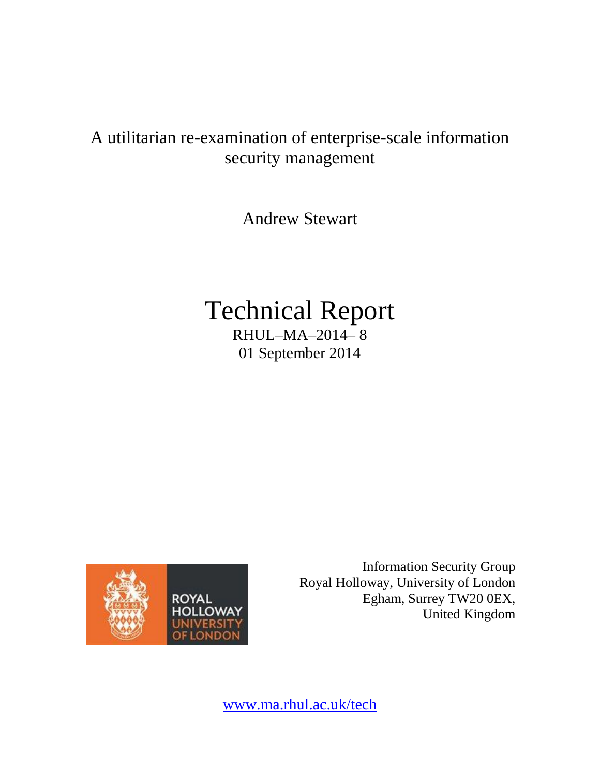## A utilitarian re-examination of enterprise-scale information security management

Andrew Stewart

# Technical Report  $RHUL-MA-2014-8$ 01 September 2014



Information Security Group Royal Holloway, University of London Egham, Surrey TW20 0EX, United Kingdom

[www.ma.rhul.ac.uk/tech](http://www.ma.rhul.ac.uk/tech)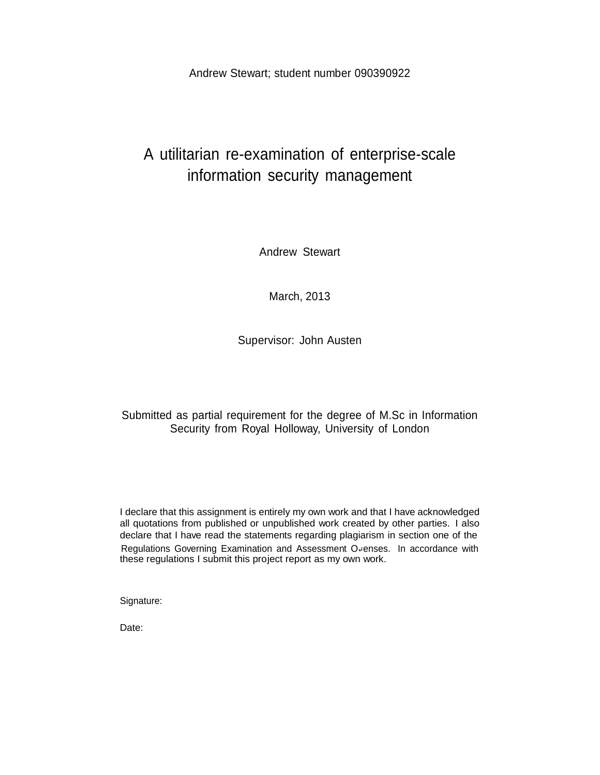Andrew Stewart; student number 090390922

## A utilitarian re-examination of enterprise-scale information security management

Andrew Stewart

March, 2013

Supervisor: John Austen

Submitted as partial requirement for the degree of M.Sc in Information Security from Royal Holloway, University of London

I declare that this assignment is entirely my own work and that I have acknowledged all quotations from published or unpublished work created by other parties. I also declare that I have read the statements regarding plagiarism in section one of the Regulations Governing Examination and Assessment O↵enses. In accordance with these regulations I submit this project report as my own work.

Signature:

Date: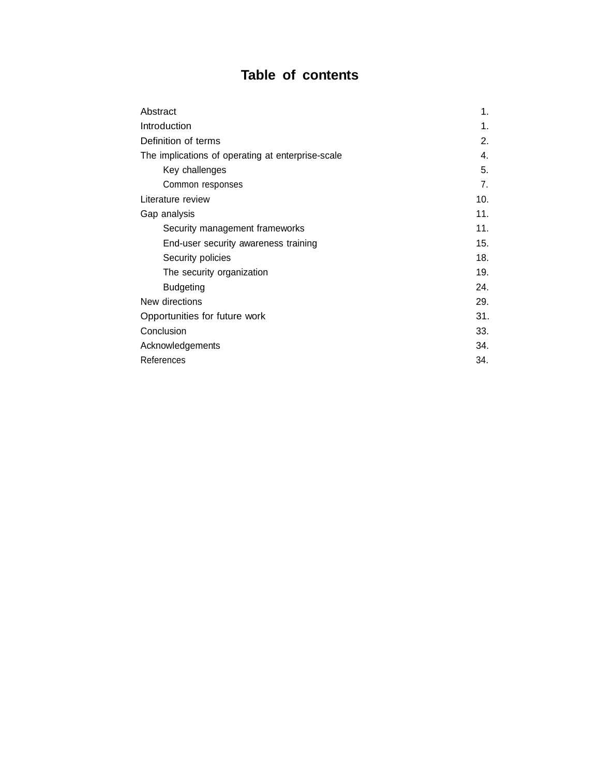## **Table of contents**

| Abstract                                          | 1.  |
|---------------------------------------------------|-----|
| Introduction                                      | 1.  |
| Definition of terms                               | 2.  |
| The implications of operating at enterprise-scale | 4.  |
| Key challenges                                    | 5.  |
| Common responses                                  | 7.  |
| Literature review                                 | 10. |
| Gap analysis                                      | 11. |
| Security management frameworks                    | 11. |
| End-user security awareness training              | 15. |
| Security policies                                 | 18. |
| The security organization                         | 19. |
| <b>Budgeting</b>                                  | 24. |
| New directions                                    | 29. |
| Opportunities for future work                     | 31. |
| Conclusion                                        | 33. |
| Acknowledgements                                  | 34. |
| References                                        | 34. |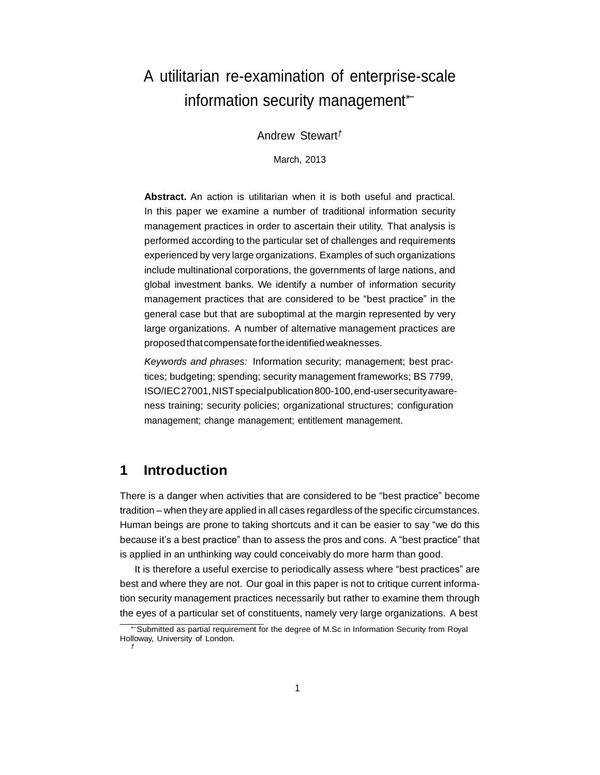## A utilitarian re-examination of enterprise-scale information security management *⇤*

Andrew Stewart*†*

March, 2013

**Abstract.** An action is utilitarian when it is both useful and practical. In this paper we examine a number of traditional information security management practices in order to ascertain their utility. That analysis is performed according to the particular set of challenges and requirements experienced by very large organizations. Examples of such organizations include multinational corporations, the governments of large nations, and global investment banks. We identify a number of information security management practices that are considered to be "best practice" in the general case but that are suboptimal at the margin represented by very large organizations. A number of alternative management practices are proposedthatcompensatefortheidentifiedweaknesses.

*Keywords and phrases:* Information security; management; best practices; budgeting; spending; security management frameworks; BS 7799, ISO/IEC27001,NISTspecialpublication800-100,end-usersecurityawareness training; security policies; organizational structures; configuration management; change management; entitlement management.

## **1 Introduction**

There is a danger when activities that are considered to be "best practice" become tradition – when they are applied in all cases regardless of the specific circumstances. Human beings are prone to taking shortcuts and it can be easier to say "we do this because it's a best practice" than to assess the pros and cons. A "best practice" that is applied in an unthinking way could conceivably do more harm than good.

It is therefore a useful exercise to periodically assess where "best practices" are best and where they are not. Our goal in this paper is not to critique current information security management practices necessarily but rather to examine them through the eyes of a particular set of constituents, namely very large organizations. A best

*<sup>⇤</sup>*Submitted as partial requirement for the degree of M.Sc in Information Security from Royal Holloway, University of London. *†*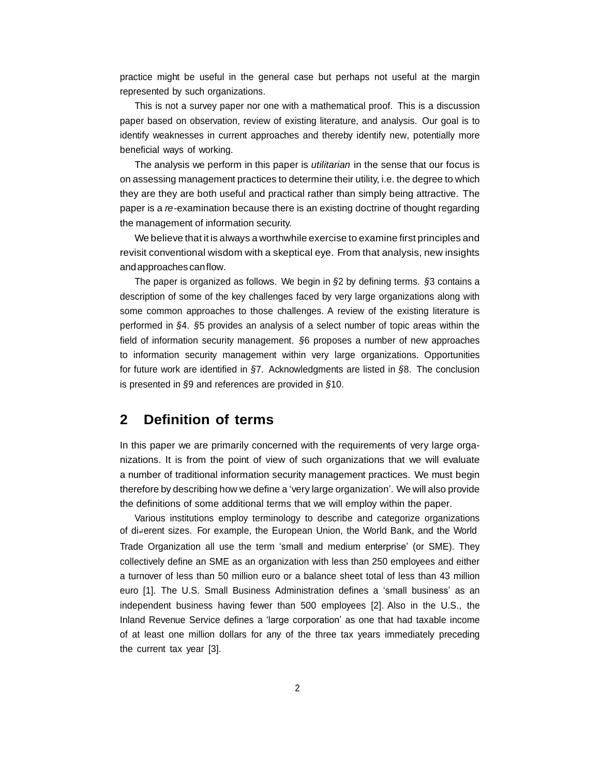practice might be useful in the general case but perhaps not useful at the margin represented by such organizations.

This is not a survey paper nor one with a mathematical proof. This is a discussion paper based on observation, review of existing literature, and analysis. Our goal is to identify weaknesses in current approaches and thereby identify new, potentially more beneficial ways of working.

The analysis we perform in this paper is *utilitarian* in the sense that our focus is on assessing management practices to determine their utility, i.e. the degree to which they are they are both useful and practical rather than simply being attractive. The paper is a *re*-examination because there is an existing doctrine of thought regarding the management of information security.

We believe that it is always a worthwhile exercise to examine first principles and revisit conventional wisdom with a skeptical eye. From that analysis, new insights andapproaches canflow.

The paper is organized as follows. We begin in *§*2 by defining terms. *§*3 contains a description of some of the key challenges faced by very large organizations along with some common approaches to those challenges. A review of the existing literature is performed in *§*4. *§*5 provides an analysis of a select number of topic areas within the field of information security management. *§*6 proposes a number of new approaches to information security management within very large organizations. Opportunities for future work are identified in *§*7. Acknowledgments are listed in *§*8. The conclusion is presented in *§*9 and references are provided in *§*10.

## **2 Definition of terms**

In this paper we are primarily concerned with the requirements of very large organizations. It is from the point of view of such organizations that we will evaluate a number of traditional information security management practices. We must begin therefore by describing how we define a 'very large organization'. We will also provide the definitions of some additional terms that we will employ within the paper.

Various institutions employ terminology to describe and categorize organizations of di↵erent sizes. For example, the European Union, the World Bank, and the World Trade Organization all use the term 'small and medium enterprise' (or SME). They collectively define an SME as an organization with less than 250 employees and either a turnover of less than 50 million euro or a balance sheet total of less than 43 million euro [1]. The U.S. Small Business Administration defines a 'small business' as an independent business having fewer than 500 employees [2]. Also in the U.S., the Inland Revenue Service defines a 'large corporation' as one that had taxable income of at least one million dollars for any of the three tax years immediately preceding the current tax year [3].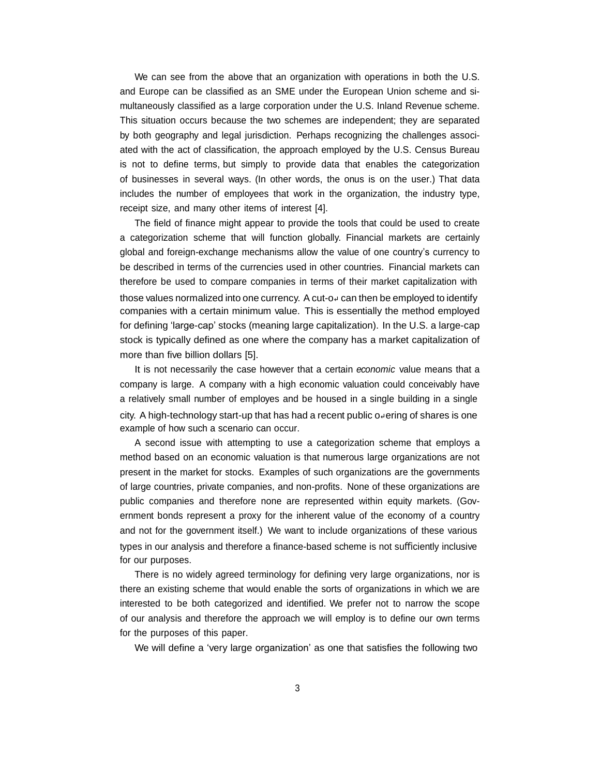We can see from the above that an organization with operations in both the U.S. and Europe can be classified as an SME under the European Union scheme and simultaneously classified as a large corporation under the U.S. Inland Revenue scheme. This situation occurs because the two schemes are independent; they are separated by both geography and legal jurisdiction. Perhaps recognizing the challenges associated with the act of classification, the approach employed by the U.S. Census Bureau is not to define terms, but simply to provide data that enables the categorization of businesses in several ways. (In other words, the onus is on the user.) That data includes the number of employees that work in the organization, the industry type, receipt size, and many other items of interest [4].

The field of finance might appear to provide the tools that could be used to create a categorization scheme that will function globally. Financial markets are certainly global and foreign-exchange mechanisms allow the value of one country's currency to be described in terms of the currencies used in other countries. Financial markets can therefore be used to compare companies in terms of their market capitalization with those values normalized into one currency. A cut-o $\mu$  can then be employed to identify companies with a certain minimum value. This is essentially the method employed for defining 'large-cap' stocks (meaning large capitalization). In the U.S. a large-cap stock is typically defined as one where the company has a market capitalization of more than five billion dollars [5].

It is not necessarily the case however that a certain *economic* value means that a company is large. A company with a high economic valuation could conceivably have a relatively small number of employes and be housed in a single building in a single city. A high-technology start-up that has had a recent public o↵ering of shares is one example of how such a scenario can occur.

A second issue with attempting to use a categorization scheme that employs a method based on an economic valuation is that numerous large organizations are not present in the market for stocks. Examples of such organizations are the governments of large countries, private companies, and non-profits. None of these organizations are public companies and therefore none are represented within equity markets. (Government bonds represent a proxy for the inherent value of the economy of a country and not for the government itself.) We want to include organizations of these various types in our analysis and therefore a finance-based scheme is not sufficiently inclusive for our purposes.

There is no widely agreed terminology for defining very large organizations, nor is there an existing scheme that would enable the sorts of organizations in which we are interested to be both categorized and identified. We prefer not to narrow the scope of our analysis and therefore the approach we will employ is to define our own terms for the purposes of this paper.

We will define a 'very large organization' as one that satisfies the following two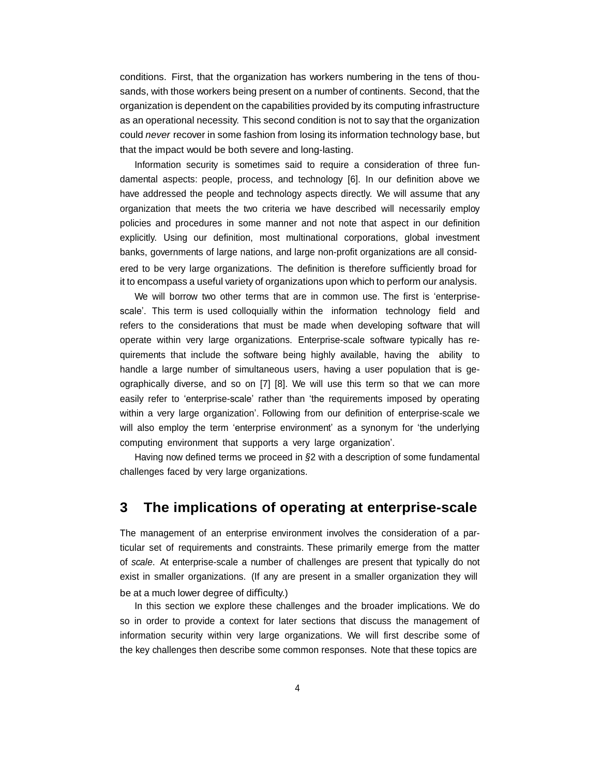conditions. First, that the organization has workers numbering in the tens of thousands, with those workers being present on a number of continents. Second, that the organization is dependent on the capabilities provided by its computing infrastructure as an operational necessity. This second condition is not to say that the organization could *never* recover in some fashion from losing its information technology base, but that the impact would be both severe and long-lasting.

Information security is sometimes said to require a consideration of three fundamental aspects: people, process, and technology [6]. In our definition above we have addressed the people and technology aspects directly. We will assume that any organization that meets the two criteria we have described will necessarily employ policies and procedures in some manner and not note that aspect in our definition explicitly. Using our definition, most multinational corporations, global investment banks, governments of large nations, and large non-profit organizations are all considered to be very large organizations. The definition is therefore sufficiently broad for it to encompass a useful variety of organizations upon which to perform our analysis.

We will borrow two other terms that are in common use. The first is 'enterprisescale'. This term is used colloquially within the information technology field and refers to the considerations that must be made when developing software that will operate within very large organizations. Enterprise-scale software typically has requirements that include the software being highly available, having the ability to handle a large number of simultaneous users, having a user population that is geographically diverse, and so on [7] [8]. We will use this term so that we can more easily refer to 'enterprise-scale' rather than 'the requirements imposed by operating within a very large organization'. Following from our definition of enterprise-scale we will also employ the term 'enterprise environment' as a synonym for 'the underlying computing environment that supports a very large organization'.

Having now defined terms we proceed in *§*2 with a description of some fundamental challenges faced by very large organizations.

## **3 The implications of operating at enterprise-scale**

The management of an enterprise environment involves the consideration of a particular set of requirements and constraints. These primarily emerge from the matter of *scale*. At enterprise-scale a number of challenges are present that typically do not exist in smaller organizations. (If any are present in a smaller organization they will be at a much lower degree of difficulty.)

In this section we explore these challenges and the broader implications. We do so in order to provide a context for later sections that discuss the management of information security within very large organizations. We will first describe some of the key challenges then describe some common responses. Note that these topics are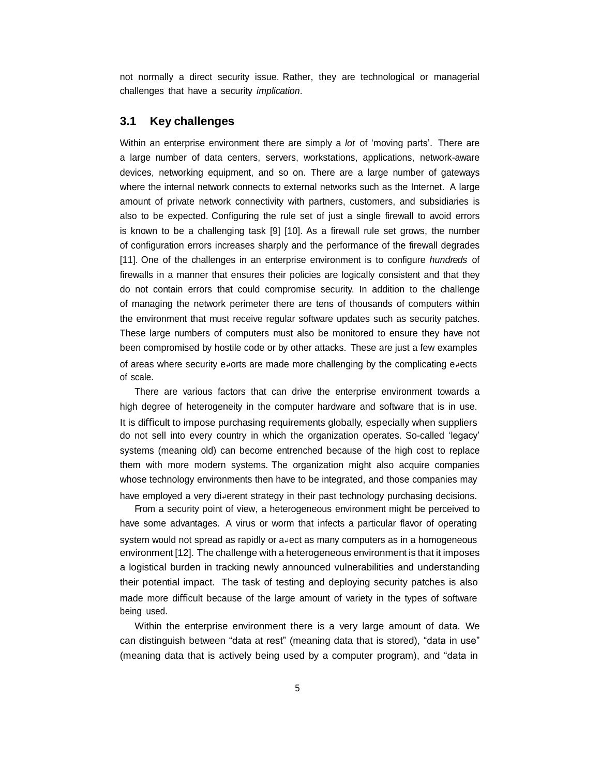not normally a direct security issue. Rather, they are technological or managerial challenges that have a security *implication*.

#### **3.1 Key challenges**

Within an enterprise environment there are simply a *lot* of 'moving parts'. There are a large number of data centers, servers, workstations, applications, network-aware devices, networking equipment, and so on. There are a large number of gateways where the internal network connects to external networks such as the Internet. A large amount of private network connectivity with partners, customers, and subsidiaries is also to be expected. Configuring the rule set of just a single firewall to avoid errors is known to be a challenging task [9] [10]. As a firewall rule set grows, the number of configuration errors increases sharply and the performance of the firewall degrades [11]. One of the challenges in an enterprise environment is to configure *hundreds* of firewalls in a manner that ensures their policies are logically consistent and that they do not contain errors that could compromise security. In addition to the challenge of managing the network perimeter there are tens of thousands of computers within the environment that must receive regular software updates such as security patches. These large numbers of computers must also be monitored to ensure they have not been compromised by hostile code or by other attacks. These are just a few examples of areas where security e↵orts are made more challenging by the complicating e↵ects of scale.

There are various factors that can drive the enterprise environment towards a high degree of heterogeneity in the computer hardware and software that is in use. It is difficult to impose purchasing requirements globally, especially when suppliers do not sell into every country in which the organization operates. So-called 'legacy' systems (meaning old) can become entrenched because of the high cost to replace them with more modern systems. The organization might also acquire companies whose technology environments then have to be integrated, and those companies may have employed a very di⊌erent strategy in their past technology purchasing decisions.

From a security point of view, a heterogeneous environment might be perceived to have some advantages. A virus or worm that infects a particular flavor of operating system would not spread as rapidly or a⊌ect as many computers as in a homogeneous environment [12]. The challenge with a heterogeneous environment is that it imposes a logistical burden in tracking newly announced vulnerabilities and understanding their potential impact. The task of testing and deploying security patches is also made more difficult because of the large amount of variety in the types of software being used.

Within the enterprise environment there is a very large amount of data. We can distinguish between "data at rest" (meaning data that is stored), "data in use" (meaning data that is actively being used by a computer program), and "data in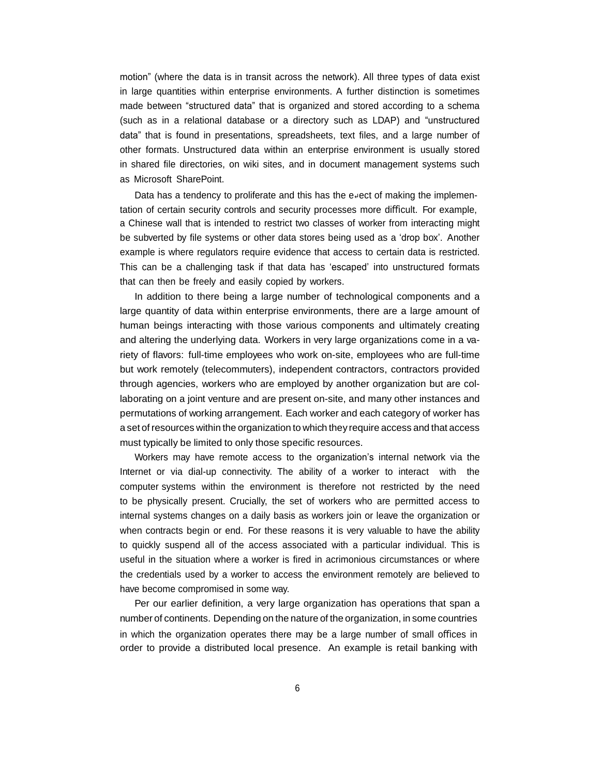motion" (where the data is in transit across the network). All three types of data exist in large quantities within enterprise environments. A further distinction is sometimes made between "structured data" that is organized and stored according to a schema (such as in a relational database or a directory such as LDAP) and "unstructured data" that is found in presentations, spreadsheets, text files, and a large number of other formats. Unstructured data within an enterprise environment is usually stored in shared file directories, on wiki sites, and in document management systems such as Microsoft SharePoint.

Data has a tendency to proliferate and this has the  $e \cdot$ ect of making the implementation of certain security controls and security processes more difficult. For example, a Chinese wall that is intended to restrict two classes of worker from interacting might be subverted by file systems or other data stores being used as a 'drop box'. Another example is where regulators require evidence that access to certain data is restricted. This can be a challenging task if that data has 'escaped' into unstructured formats that can then be freely and easily copied by workers.

In addition to there being a large number of technological components and a large quantity of data within enterprise environments, there are a large amount of human beings interacting with those various components and ultimately creating and altering the underlying data. Workers in very large organizations come in a variety of flavors: full-time employees who work on-site, employees who are full-time but work remotely (telecommuters), independent contractors, contractors provided through agencies, workers who are employed by another organization but are collaborating on a joint venture and are present on-site, and many other instances and permutations of working arrangement. Each worker and each category of worker has a set of resources within the organization to which they require access and that access must typically be limited to only those specific resources.

Workers may have remote access to the organization's internal network via the Internet or via dial-up connectivity. The ability of a worker to interact with the computer systems within the environment is therefore not restricted by the need to be physically present. Crucially, the set of workers who are permitted access to internal systems changes on a daily basis as workers join or leave the organization or when contracts begin or end. For these reasons it is very valuable to have the ability to quickly suspend all of the access associated with a particular individual. This is useful in the situation where a worker is fired in acrimonious circumstances or where the credentials used by a worker to access the environment remotely are believed to have become compromised in some way.

Per our earlier definition, a very large organization has operations that span a number of continents. Depending on the nature of the organization, in some countries in which the organization operates there may be a large number of small offices in order to provide a distributed local presence. An example is retail banking with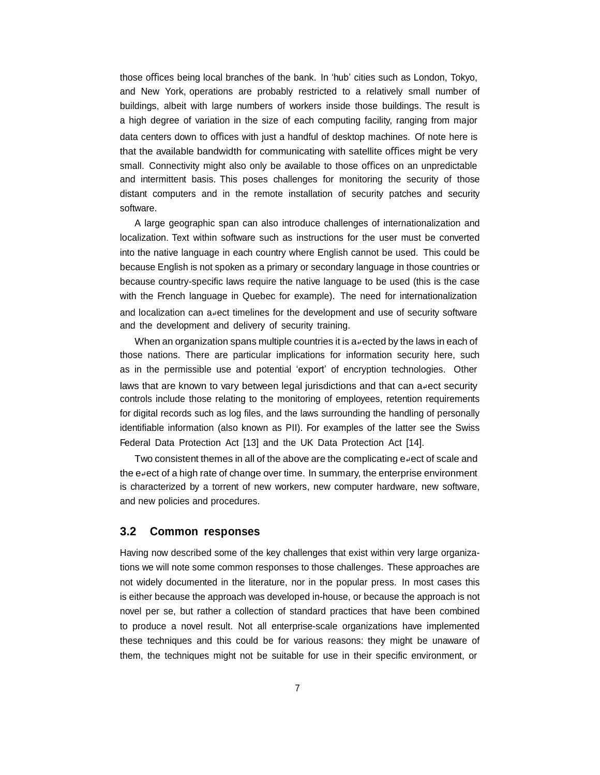those offices being local branches of the bank. In 'hub' cities such as London, Tokyo, and New York, operations are probably restricted to a relatively small number of buildings, albeit with large numbers of workers inside those buildings. The result is a high degree of variation in the size of each computing facility, ranging from major data centers down to offices with just a handful of desktop machines. Of note here is that the available bandwidth for communicating with satellite offices might be very small. Connectivity might also only be available to those offices on an unpredictable and intermittent basis. This poses challenges for monitoring the security of those distant computers and in the remote installation of security patches and security software.

A large geographic span can also introduce challenges of internationalization and localization. Text within software such as instructions for the user must be converted into the native language in each country where English cannot be used. This could be because English is not spoken as a primary or secondary language in those countries or because country-specific laws require the native language to be used (this is the case with the French language in Quebec for example). The need for internationalization and localization can a↵ect timelines for the development and use of security software and the development and delivery of security training.

When an organization spans multiple countries it is a↵ected by the laws in each of those nations. There are particular implications for information security here, such as in the permissible use and potential 'export' of encryption technologies. Other laws that are known to vary between legal jurisdictions and that can a↵ect security controls include those relating to the monitoring of employees, retention requirements for digital records such as log files, and the laws surrounding the handling of personally identifiable information (also known as PII). For examples of the latter see the Swiss Federal Data Protection Act [13] and the UK Data Protection Act [14].

Two consistent themes in all of the above are the complicating e↵ect of scale and the e⊌ect of a high rate of change over time. In summary, the enterprise environment is characterized by a torrent of new workers, new computer hardware, new software, and new policies and procedures.

#### **3.2 Common responses**

Having now described some of the key challenges that exist within very large organizations we will note some common responses to those challenges. These approaches are not widely documented in the literature, nor in the popular press. In most cases this is either because the approach was developed in-house, or because the approach is not novel per se, but rather a collection of standard practices that have been combined to produce a novel result. Not all enterprise-scale organizations have implemented these techniques and this could be for various reasons: they might be unaware of them, the techniques might not be suitable for use in their specific environment, or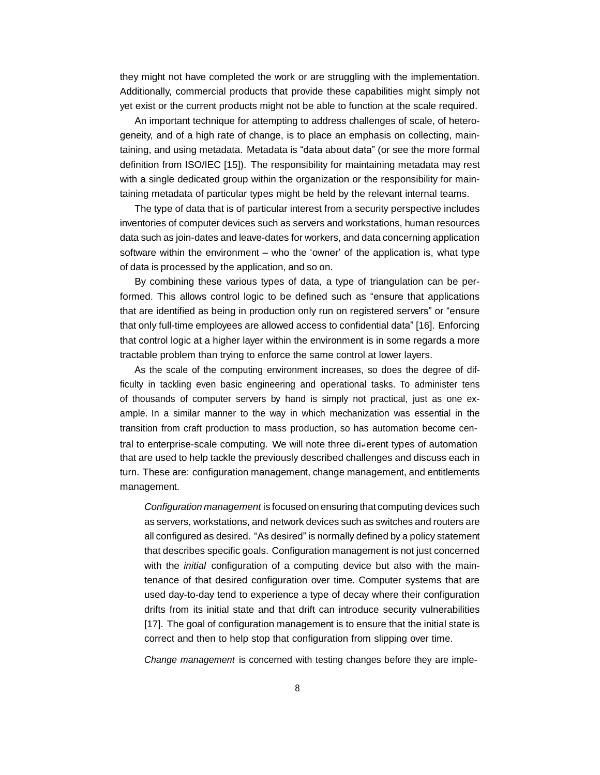they might not have completed the work or are struggling with the implementation. Additionally, commercial products that provide these capabilities might simply not yet exist or the current products might not be able to function at the scale required.

An important technique for attempting to address challenges of scale, of heterogeneity, and of a high rate of change, is to place an emphasis on collecting, maintaining, and using metadata. Metadata is "data about data" (or see the more formal definition from ISO/IEC [15]). The responsibility for maintaining metadata may rest with a single dedicated group within the organization or the responsibility for maintaining metadata of particular types might be held by the relevant internal teams.

The type of data that is of particular interest from a security perspective includes inventories of computer devices such as servers and workstations, human resources data such as join-dates and leave-dates for workers, and data concerning application software within the environment – who the 'owner' of the application is, what type of data is processed by the application, and so on.

By combining these various types of data, a type of triangulation can be performed. This allows control logic to be defined such as "ensure that applications that are identified as being in production only run on registered servers" or "ensure that only full-time employees are allowed access to confidential data" [16]. Enforcing that control logic at a higher layer within the environment is in some regards a more tractable problem than trying to enforce the same control at lower layers.

As the scale of the computing environment increases, so does the degree of difficulty in tackling even basic engineering and operational tasks. To administer tens of thousands of computer servers by hand is simply not practical, just as one example. In a similar manner to the way in which mechanization was essential in the transition from craft production to mass production, so has automation become central to enterprise-scale computing. We will note three dieerent types of automation that are used to help tackle the previously described challenges and discuss each in turn. These are: configuration management, change management, and entitlements management.

*Configuration management* is focused on ensuring that computing devices such as servers, workstations, and network devices such as switches and routers are all configured as desired. "As desired" is normally defined by a policy statement that describes specific goals. Configuration management is not just concerned with the *initial* configuration of a computing device but also with the maintenance of that desired configuration over time. Computer systems that are used day-to-day tend to experience a type of decay where their configuration drifts from its initial state and that drift can introduce security vulnerabilities [17]. The goal of configuration management is to ensure that the initial state is correct and then to help stop that configuration from slipping over time.

*Change management* is concerned with testing changes before they are imple-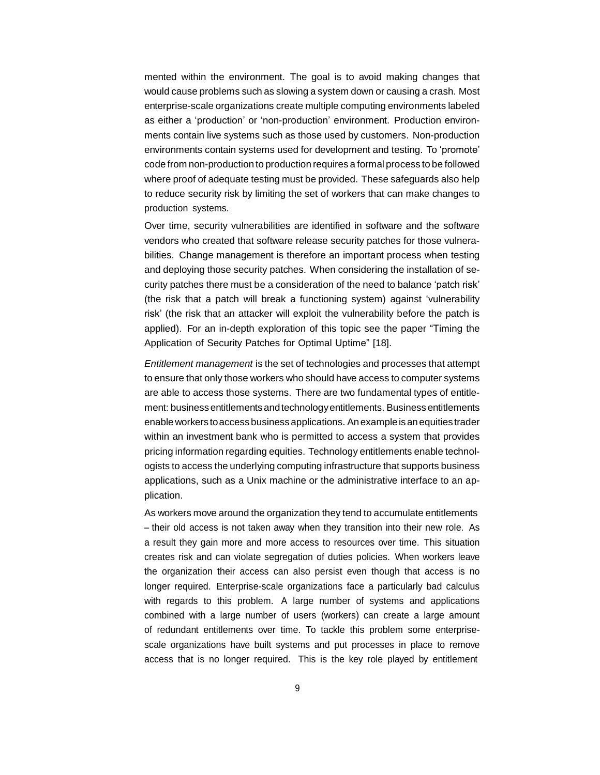mented within the environment. The goal is to avoid making changes that would cause problems such as slowing a system down or causing a crash. Most enterprise-scale organizations create multiple computing environments labeled as either a 'production' or 'non-production' environment. Production environments contain live systems such as those used by customers. Non-production environments contain systems used for development and testing. To 'promote' code from non-production to production requires a formal process to be followed where proof of adequate testing must be provided. These safeguards also help to reduce security risk by limiting the set of workers that can make changes to production systems.

Over time, security vulnerabilities are identified in software and the software vendors who created that software release security patches for those vulnerabilities. Change management is therefore an important process when testing and deploying those security patches. When considering the installation of security patches there must be a consideration of the need to balance 'patch risk' (the risk that a patch will break a functioning system) against 'vulnerability risk' (the risk that an attacker will exploit the vulnerability before the patch is applied). For an in-depth exploration of this topic see the paper "Timing the Application of Security Patches for Optimal Uptime" [18].

*Entitlement management* is the set of technologies and processes that attempt to ensure that only those workers who should have access to computer systems are able to access those systems. There are two fundamental types of entitlement: business entitlementsandtechnologyentitlements. Business entitlements enableworkers toaccessbusinessapplications. Anexampleisanequities trader within an investment bank who is permitted to access a system that provides pricing information regarding equities. Technology entitlements enable technologists to access the underlying computing infrastructure that supports business applications, such as a Unix machine or the administrative interface to an application.

As workers move around the organization they tend to accumulate entitlements – their old access is not taken away when they transition into their new role. As a result they gain more and more access to resources over time. This situation creates risk and can violate segregation of duties policies. When workers leave the organization their access can also persist even though that access is no longer required. Enterprise-scale organizations face a particularly bad calculus with regards to this problem. A large number of systems and applications combined with a large number of users (workers) can create a large amount of redundant entitlements over time. To tackle this problem some enterprisescale organizations have built systems and put processes in place to remove access that is no longer required. This is the key role played by entitlement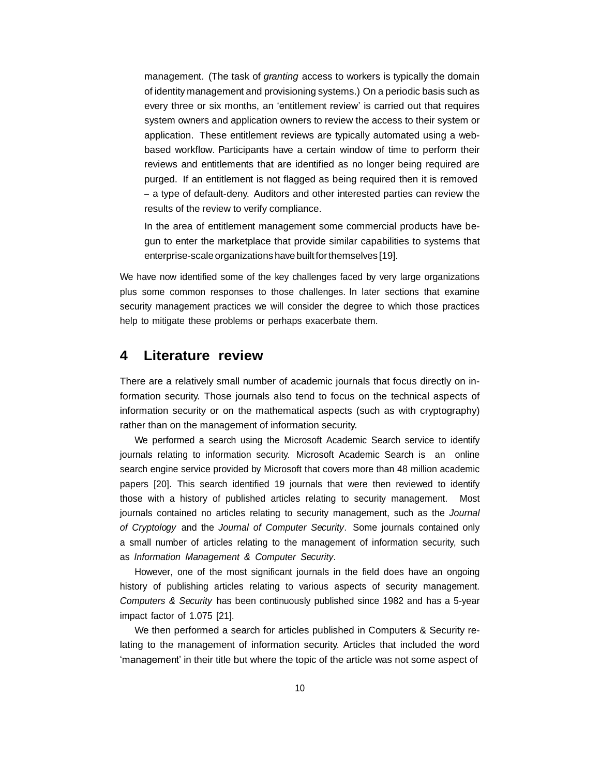management. (The task of *granting* access to workers is typically the domain of identity management and provisioning systems.) On a periodic basis such as every three or six months, an 'entitlement review' is carried out that requires system owners and application owners to review the access to their system or application. These entitlement reviews are typically automated using a webbased workflow. Participants have a certain window of time to perform their reviews and entitlements that are identified as no longer being required are purged. If an entitlement is not flagged as being required then it is removed – a type of default-deny. Auditors and other interested parties can review the results of the review to verify compliance.

In the area of entitlement management some commercial products have begun to enter the marketplace that provide similar capabilities to systems that enterprise-scale organizations have built for themselves [19].

We have now identified some of the key challenges faced by very large organizations plus some common responses to those challenges. In later sections that examine security management practices we will consider the degree to which those practices help to mitigate these problems or perhaps exacerbate them.

## **4 Literature review**

There are a relatively small number of academic journals that focus directly on information security. Those journals also tend to focus on the technical aspects of information security or on the mathematical aspects (such as with cryptography) rather than on the management of information security.

We performed a search using the Microsoft Academic Search service to identify journals relating to information security. Microsoft Academic Search is an online search engine service provided by Microsoft that covers more than 48 million academic papers [20]. This search identified 19 journals that were then reviewed to identify those with a history of published articles relating to security management. Most journals contained no articles relating to security management, such as the *Journal of Cryptology* and the *Journal of Computer Security*. Some journals contained only a small number of articles relating to the management of information security, such as *Information Management & Computer Security*.

However, one of the most significant journals in the field does have an ongoing history of publishing articles relating to various aspects of security management. *Computers & Security* has been continuously published since 1982 and has a 5-year impact factor of 1.075 [21].

We then performed a search for articles published in Computers & Security relating to the management of information security. Articles that included the word 'management' in their title but where the topic of the article was not some aspect of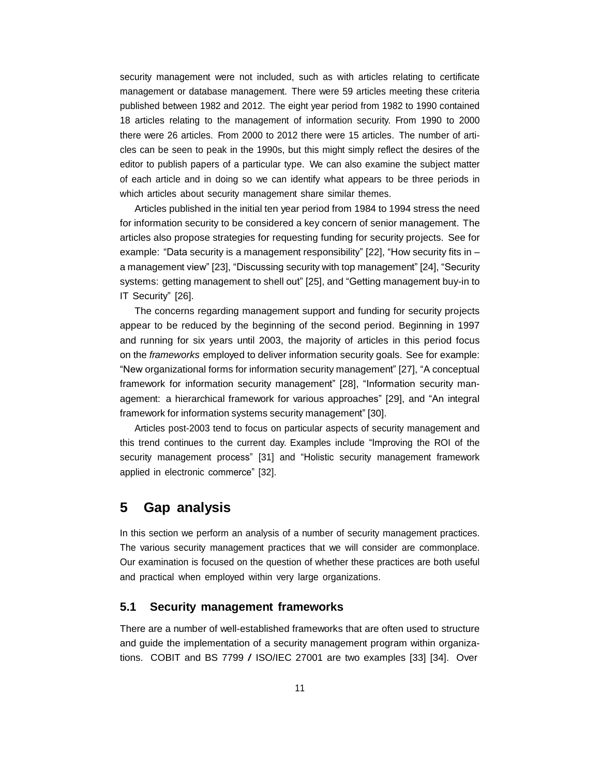security management were not included, such as with articles relating to certificate management or database management. There were 59 articles meeting these criteria published between 1982 and 2012. The eight year period from 1982 to 1990 contained 18 articles relating to the management of information security. From 1990 to 2000 there were 26 articles. From 2000 to 2012 there were 15 articles. The number of articles can be seen to peak in the 1990s, but this might simply reflect the desires of the editor to publish papers of a particular type. We can also examine the subject matter of each article and in doing so we can identify what appears to be three periods in which articles about security management share similar themes.

Articles published in the initial ten year period from 1984 to 1994 stress the need for information security to be considered a key concern of senior management. The articles also propose strategies for requesting funding for security projects. See for example: "Data security is a management responsibility" [22], "How security fits in – a management view" [23], "Discussing security with top management" [24], "Security systems: getting management to shell out" [25], and "Getting management buy-in to IT Security" [26].

The concerns regarding management support and funding for security projects appear to be reduced by the beginning of the second period. Beginning in 1997 and running for six years until 2003, the majority of articles in this period focus on the *frameworks* employed to deliver information security goals. See for example: "New organizational forms for information security management" [27], "A conceptual framework for information security management" [28], "Information security management: a hierarchical framework for various approaches" [29], and "An integral framework for information systems security management" [30].

Articles post-2003 tend to focus on particular aspects of security management and this trend continues to the current day. Examples include "Improving the ROI of the security management process" [31] and "Holistic security management framework applied in electronic commerce" [32].

## **5 Gap analysis**

In this section we perform an analysis of a number of security management practices. The various security management practices that we will consider are commonplace. Our examination is focused on the question of whether these practices are both useful and practical when employed within very large organizations.

#### **5.1 Security management frameworks**

There are a number of well-established frameworks that are often used to structure and guide the implementation of a security management program within organizations. COBIT and BS <sup>7799</sup> / ISO/IEC <sup>27001</sup> are two examples [33] [34]. Over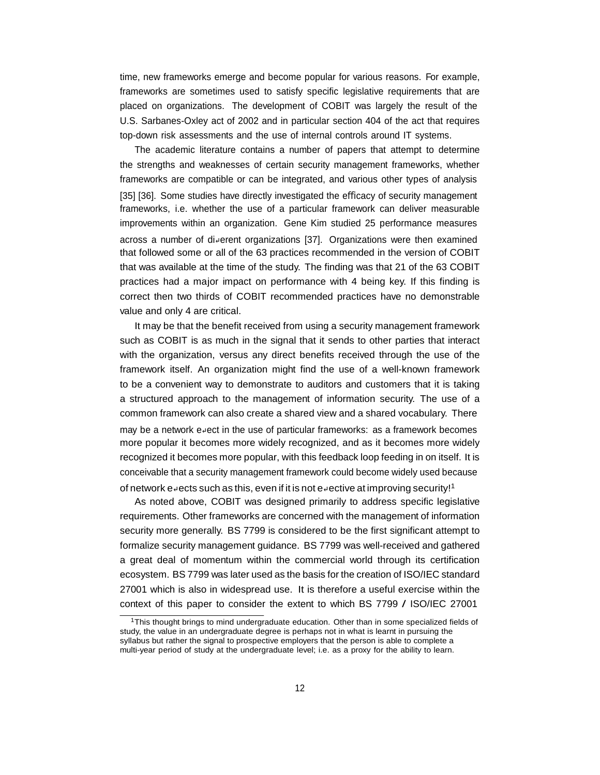time, new frameworks emerge and become popular for various reasons. For example, frameworks are sometimes used to satisfy specific legislative requirements that are placed on organizations. The development of COBIT was largely the result of the U.S. Sarbanes-Oxley act of 2002 and in particular section 404 of the act that requires top-down risk assessments and the use of internal controls around IT systems.

The academic literature contains a number of papers that attempt to determine the strengths and weaknesses of certain security management frameworks, whether frameworks are compatible or can be integrated, and various other types of analysis [35] [36]. Some studies have directly investigated the efficacy of security management frameworks, i.e. whether the use of a particular framework can deliver measurable improvements within an organization. Gene Kim studied 25 performance measures across a number of di⊌erent organizations [37]. Organizations were then examined that followed some or all of the 63 practices recommended in the version of COBIT that was available at the time of the study. The finding was that 21 of the 63 COBIT practices had a major impact on performance with 4 being key. If this finding is correct then two thirds of COBIT recommended practices have no demonstrable value and only 4 are critical.

It may be that the benefit received from using a security management framework such as COBIT is as much in the signal that it sends to other parties that interact with the organization, versus any direct benefits received through the use of the framework itself. An organization might find the use of a well-known framework to be a convenient way to demonstrate to auditors and customers that it is taking a structured approach to the management of information security. The use of a common framework can also create a shared view and a shared vocabulary. There may be a network e↵ect in the use of particular frameworks: as a framework becomes more popular it becomes more widely recognized, and as it becomes more widely recognized it becomes more popular, with this feedback loop feeding in on itself. It is conceivable that a security management framework could become widely used because of network e↵ects such as this, even if it is not e↵ective at improving security!<sup>1</sup>

As noted above, COBIT was designed primarily to address specific legislative requirements. Other frameworks are concerned with the management of information security more generally. BS 7799 is considered to be the first significant attempt to formalize security management guidance. BS 7799 was well-received and gathered a great deal of momentum within the commercial world through its certification ecosystem. BS 7799 was later used as the basis for the creation of ISO/IEC standard 27001 which is also in widespread use. It is therefore a useful exercise within the context of this paper to consider the extent to which BS <sup>7799</sup> / ISO/IEC <sup>27001</sup>

<sup>1</sup>This thought brings to mind undergraduate education. Other than in some specialized fields of study, the value in an undergraduate degree is perhaps not in what is learnt in pursuing the syllabus but rather the signal to prospective employers that the person is able to complete a multi-year period of study at the undergraduate level; i.e. as a proxy for the ability to learn.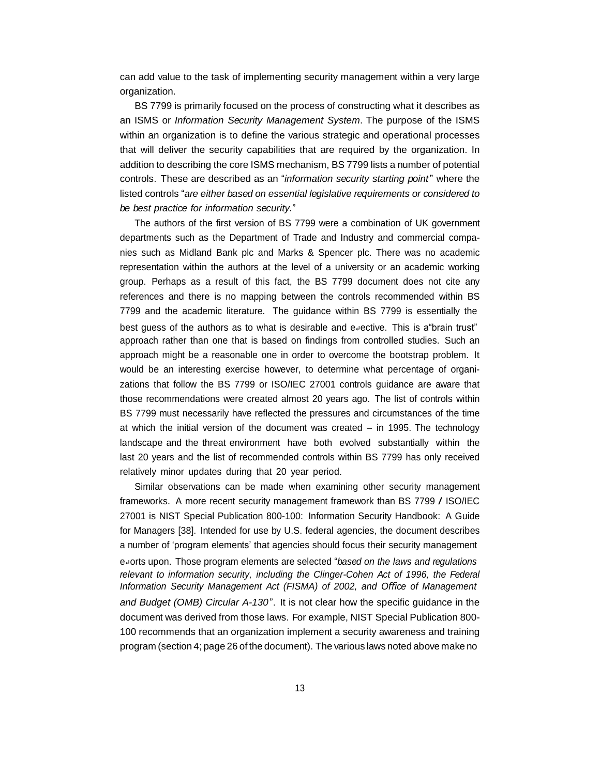can add value to the task of implementing security management within a very large organization.

BS 7799 is primarily focused on the process of constructing what it describes as an ISMS or *Information Security Management System*. The purpose of the ISMS within an organization is to define the various strategic and operational processes that will deliver the security capabilities that are required by the organization. In addition to describing the core ISMS mechanism, BS 7799 lists a number of potential controls. These are described as an "*information security starting point*" where the listed controls "*are either based on essential legislative requirements or considered to be best practice for information security.*"

The authors of the first version of BS 7799 were a combination of UK government departments such as the Department of Trade and Industry and commercial companies such as Midland Bank plc and Marks & Spencer plc. There was no academic representation within the authors at the level of a university or an academic working group. Perhaps as a result of this fact, the BS 7799 document does not cite any references and there is no mapping between the controls recommended within BS 7799 and the academic literature. The guidance within BS 7799 is essentially the best guess of the authors as to what is desirable and e↵ective. This is a"brain trust" approach rather than one that is based on findings from controlled studies. Such an approach might be a reasonable one in order to overcome the bootstrap problem. It would be an interesting exercise however, to determine what percentage of organizations that follow the BS 7799 or ISO/IEC 27001 controls guidance are aware that those recommendations were created almost 20 years ago. The list of controls within BS 7799 must necessarily have reflected the pressures and circumstances of the time at which the initial version of the document was created – in 1995. The technology landscape and the threat environment have both evolved substantially within the last 20 years and the list of recommended controls within BS 7799 has only received relatively minor updates during that 20 year period.

Similar observations can be made when examining other security management frameworks. <sup>A</sup> more recent security management framework than BS <sup>7799</sup> / ISO/IEC 27001 is NIST Special Publication 800-100: Information Security Handbook: A Guide for Managers [38]. Intended for use by U.S. federal agencies, the document describes a number of 'program elements' that agencies should focus their security management e↵orts upon. Those program elements are selected "*based on the laws and regulations relevant to information security, including the Clinger-Cohen Act of 1996, the Federal Information Security Management Act (FISMA) of 2002, and Office of Management and Budget (OMB) Circular A-130*". It is not clear how the specific guidance in the document was derived from those laws. For example, NIST Special Publication 800- 100 recommends that an organization implement a security awareness and training program (section 4; page 26 of the document). The various laws noted above make no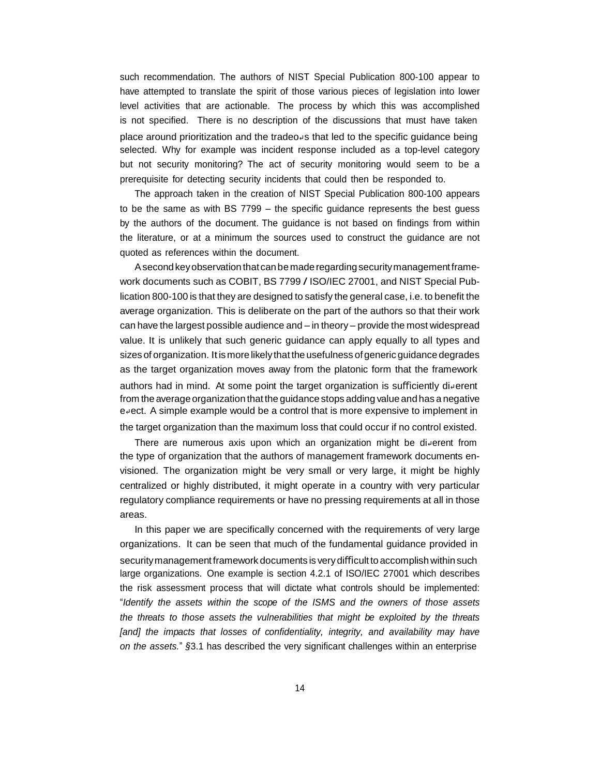such recommendation. The authors of NIST Special Publication 800-100 appear to have attempted to translate the spirit of those various pieces of legislation into lower level activities that are actionable. The process by which this was accomplished is not specified. There is no description of the discussions that must have taken place around prioritization and the tradeo⊌s that led to the specific guidance being selected. Why for example was incident response included as a top-level category but not security monitoring? The act of security monitoring would seem to be a prerequisite for detecting security incidents that could then be responded to.

The approach taken in the creation of NIST Special Publication 800-100 appears to be the same as with BS 7799 – the specific guidance represents the best guess by the authors of the document. The guidance is not based on findings from within the literature, or at a minimum the sources used to construct the guidance are not quoted as references within the document.

Asecondkeyobservation that canbemaderegardingsecuritymanagementframework documents such as COBIT, BS <sup>7799</sup> / ISO/IEC 27001, and NIST Special Publication 800-100 is that they are designed to satisfy the general case, i.e. to benefit the average organization. This is deliberate on the part of the authors so that their work can have the largest possible audience and – in theory – provide the most widespread value. It is unlikely that such generic guidance can apply equally to all types and sizes of organization. Itismore likely that the usefulness of generic guidance degrades as the target organization moves away from the platonic form that the framework authors had in mind. At some point the target organization is sufficiently dieerent from the average organization that the guidance stops adding value and has a negative e<sup>↓</sup>ect. A simple example would be a control that is more expensive to implement in the target organization than the maximum loss that could occur if no control existed.

There are numerous axis upon which an organization might be di $\nu$ erent from the type of organization that the authors of management framework documents envisioned. The organization might be very small or very large, it might be highly centralized or highly distributed, it might operate in a country with very particular regulatory compliance requirements or have no pressing requirements at all in those areas.

In this paper we are specifically concerned with the requirements of very large organizations. It can be seen that much of the fundamental guidance provided in securitymanagement framework documents is very difficult to accomplish within such large organizations. One example is section 4.2.1 of ISO/IEC 27001 which describes the risk assessment process that will dictate what controls should be implemented: "*Identify the assets within the scope of the ISMS and the owners of those assets the threats to those assets the vulnerabilities that might be exploited by the threats [and] the impacts that losses of confidentiality, integrity, and availability may have on the assets.*" *§*3.1 has described the very significant challenges within an enterprise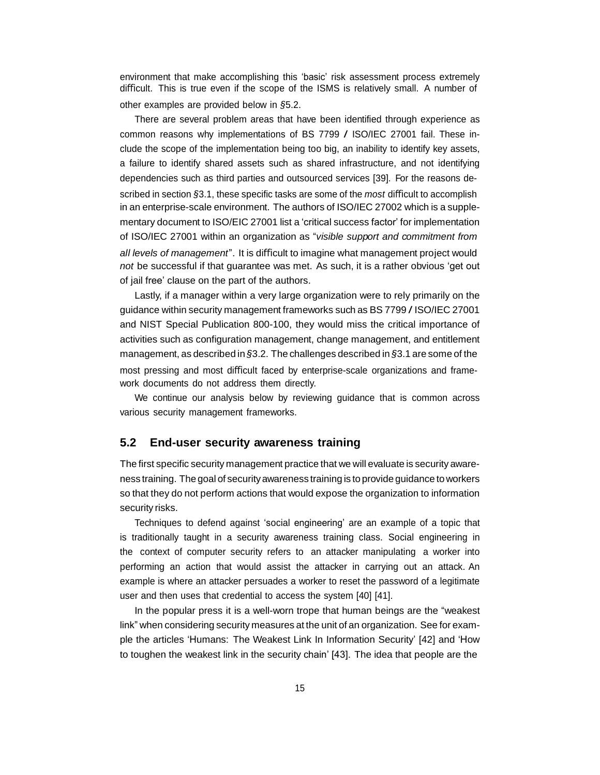environment that make accomplishing this 'basic' risk assessment process extremely difficult. This is true even if the scope of the ISMS is relatively small. A number of other examples are provided below in *§*5.2.

There are several problem areas that have been identified through experience as common reasons why implementations of BS <sup>7799</sup> / ISO/IEC <sup>27001</sup> fail. These include the scope of the implementation being too big, an inability to identify key assets, a failure to identify shared assets such as shared infrastructure, and not identifying dependencies such as third parties and outsourced services [39]. For the reasons described in section *§*3.1, these specific tasks are some of the *most* difficult to accomplish in an enterprise-scale environment. The authors of ISO/IEC 27002 which is a supplementary document to ISO/EIC 27001 list a 'critical success factor' for implementation of ISO/IEC 27001 within an organization as "*visible support and commitment from all levels of management*". It is difficult to imagine what management project would *not* be successful if that guarantee was met. As such, it is a rather obvious 'get out of jail free' clause on the part of the authors.

Lastly, if a manager within a very large organization were to rely primarily on the guidance within security management frameworks such as BS <sup>7799</sup> / ISO/IEC <sup>27001</sup> and NIST Special Publication 800-100, they would miss the critical importance of activities such as configuration management, change management, and entitlement management, as described in *§*3.2. The challenges described in *§*3.1 are some of the most pressing and most difficult faced by enterprise-scale organizations and framework documents do not address them directly.

We continue our analysis below by reviewing guidance that is common across various security management frameworks.

#### **5.2 End-user security awareness training**

The first specific security management practice that we will evaluate is security awareness training. The goal of security awareness training is to provide guidance to workers so that they do not perform actions that would expose the organization to information security risks.

Techniques to defend against 'social engineering' are an example of a topic that is traditionally taught in a security awareness training class. Social engineering in the context of computer security refers to an attacker manipulating a worker into performing an action that would assist the attacker in carrying out an attack. An example is where an attacker persuades a worker to reset the password of a legitimate user and then uses that credential to access the system [40] [41].

In the popular press it is a well-worn trope that human beings are the "weakest link" when considering security measures at the unit of an organization. See for example the articles 'Humans: The Weakest Link In Information Security' [42] and 'How to toughen the weakest link in the security chain' [43]. The idea that people are the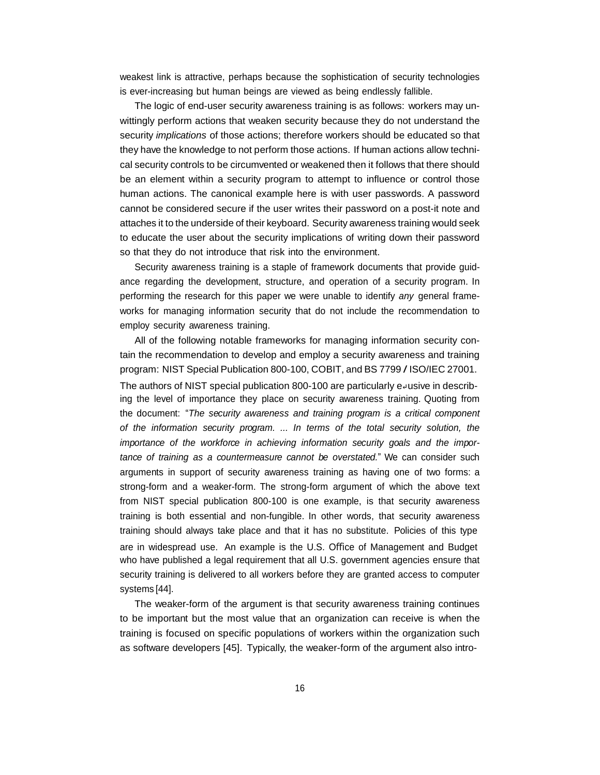weakest link is attractive, perhaps because the sophistication of security technologies is ever-increasing but human beings are viewed as being endlessly fallible.

The logic of end-user security awareness training is as follows: workers may unwittingly perform actions that weaken security because they do not understand the security *implications* of those actions; therefore workers should be educated so that they have the knowledge to not perform those actions. If human actions allow technical security controls to be circumvented or weakened then it follows that there should be an element within a security program to attempt to influence or control those human actions. The canonical example here is with user passwords. A password cannot be considered secure if the user writes their password on a post-it note and attaches it to the underside of their keyboard. Security awareness training would seek to educate the user about the security implications of writing down their password so that they do not introduce that risk into the environment.

Security awareness training is a staple of framework documents that provide guidance regarding the development, structure, and operation of a security program. In performing the research for this paper we were unable to identify *any* general frameworks for managing information security that do not include the recommendation to employ security awareness training.

All of the following notable frameworks for managing information security contain the recommendation to develop and employ a security awareness and training program: NIST Special Publication 800-100, COBIT, and BS <sup>7799</sup> / ISO/IEC 27001. The authors of NIST special publication 800-100 are particularly  $e<sub>Y</sub>$ usive in describing the level of importance they place on security awareness training. Quoting from the document: "*The security awareness and training program is a critical component of the information security program. ... In terms of the total security solution, the importance of the workforce in achieving information security goals and the importance of training as a countermeasure cannot be overstated.*" We can consider such arguments in support of security awareness training as having one of two forms: a strong-form and a weaker-form. The strong-form argument of which the above text from NIST special publication 800-100 is one example, is that security awareness training is both essential and non-fungible. In other words, that security awareness training should always take place and that it has no substitute. Policies of this type are in widespread use. An example is the U.S. Office of Management and Budget who have published a legal requirement that all U.S. government agencies ensure that security training is delivered to all workers before they are granted access to computer systems [44].

The weaker-form of the argument is that security awareness training continues to be important but the most value that an organization can receive is when the training is focused on specific populations of workers within the organization such as software developers [45]. Typically, the weaker-form of the argument also intro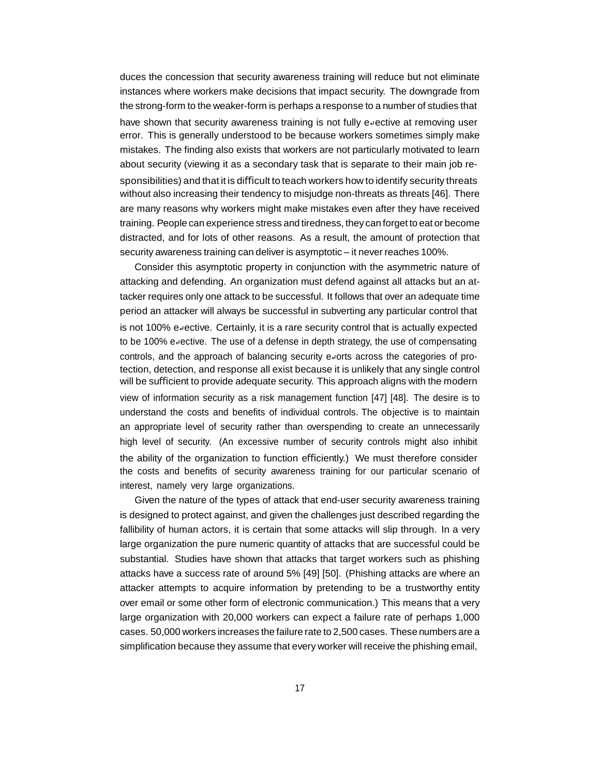duces the concession that security awareness training will reduce but not eliminate instances where workers make decisions that impact security. The downgrade from the strong-form to the weaker-form is perhaps a response to a number of studies that have shown that security awareness training is not fully e↵ective at removing user error. This is generally understood to be because workers sometimes simply make mistakes. The finding also exists that workers are not particularly motivated to learn about security (viewing it as a secondary task that is separate to their main job responsibilities) and that it is difficult to teach workers how to identify security threats without also increasing their tendency to misjudge non-threats as threats [46]. There are many reasons why workers might make mistakes even after they have received training. People can experience stress and tiredness, they can forget to eat or become distracted, and for lots of other reasons. As a result, the amount of protection that security awareness training can deliver is asymptotic – it never reaches 100%.

Consider this asymptotic property in conjunction with the asymmetric nature of attacking and defending. An organization must defend against all attacks but an attacker requires only one attack to be successful. It follows that over an adequate time period an attacker will always be successful in subverting any particular control that is not 100% e↵ective. Certainly, it is a rare security control that is actually expected to be 100% e↵ective. The use of a defense in depth strategy, the use of compensating controls, and the approach of balancing security e↵orts across the categories of protection, detection, and response all exist because it is unlikely that any single control will be sufficient to provide adequate security. This approach aligns with the modern view of information security as a risk management function [47] [48]. The desire is to understand the costs and benefits of individual controls. The objective is to maintain an appropriate level of security rather than overspending to create an unnecessarily high level of security. (An excessive number of security controls might also inhibit the ability of the organization to function efficiently.) We must therefore consider the costs and benefits of security awareness training for our particular scenario of interest, namely very large organizations.

Given the nature of the types of attack that end-user security awareness training is designed to protect against, and given the challenges just described regarding the fallibility of human actors, it is certain that some attacks will slip through. In a very large organization the pure numeric quantity of attacks that are successful could be substantial. Studies have shown that attacks that target workers such as phishing attacks have a success rate of around 5% [49] [50]. (Phishing attacks are where an attacker attempts to acquire information by pretending to be a trustworthy entity over email or some other form of electronic communication.) This means that a very large organization with 20,000 workers can expect a failure rate of perhaps 1,000 cases. 50,000 workers increases the failure rate to 2,500 cases. These numbers are a simplification because they assume that every worker will receive the phishing email,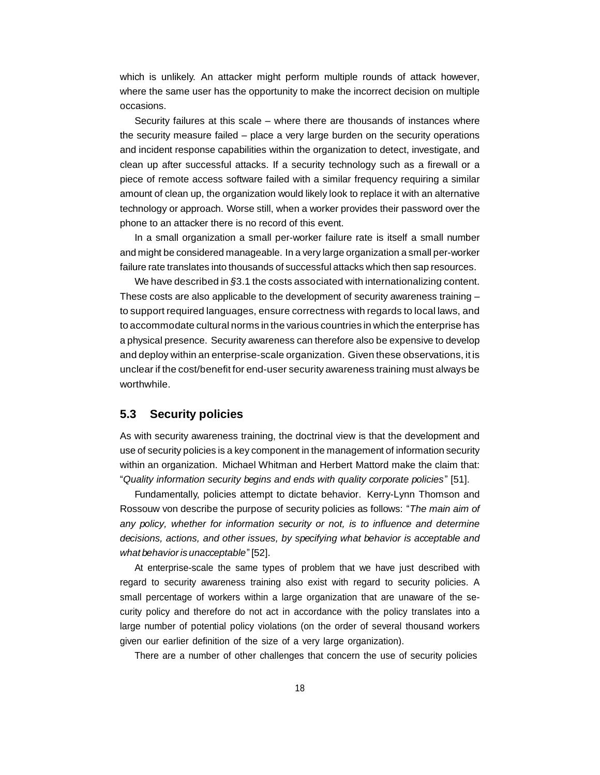which is unlikely. An attacker might perform multiple rounds of attack however, where the same user has the opportunity to make the incorrect decision on multiple occasions.

Security failures at this scale – where there are thousands of instances where the security measure failed – place a very large burden on the security operations and incident response capabilities within the organization to detect, investigate, and clean up after successful attacks. If a security technology such as a firewall or a piece of remote access software failed with a similar frequency requiring a similar amount of clean up, the organization would likely look to replace it with an alternative technology or approach. Worse still, when a worker provides their password over the phone to an attacker there is no record of this event.

In a small organization a small per-worker failure rate is itself a small number and might be considered manageable. In a very large organization a small per-worker failure rate translates into thousands of successful attacks which then sap resources.

We have described in *§*3.1 the costs associated with internationalizing content. These costs are also applicable to the development of security awareness training – to support required languages, ensure correctness with regards to local laws, and to accommodate cultural norms in the various countries in which the enterprise has a physical presence. Security awareness can therefore also be expensive to develop and deploy within an enterprise-scale organization. Given these observations, it is unclear if the cost/benefit for end-user security awareness training must always be worthwhile.

#### **5.3 Security policies**

As with security awareness training, the doctrinal view is that the development and use of security policies is a key component in the management of information security within an organization. Michael Whitman and Herbert Mattord make the claim that: "*Quality information security begins and ends with quality corporate policies*" [51].

Fundamentally, policies attempt to dictate behavior. Kerry-Lynn Thomson and Rossouw von describe the purpose of security policies as follows: "*The main aim of any policy, whether for information security or not, is to influence and determine decisions, actions, and other issues, by specifying what behavior is acceptable and what behavioris unacceptable*"[52].

At enterprise-scale the same types of problem that we have just described with regard to security awareness training also exist with regard to security policies. A small percentage of workers within a large organization that are unaware of the security policy and therefore do not act in accordance with the policy translates into a large number of potential policy violations (on the order of several thousand workers given our earlier definition of the size of a very large organization).

There are a number of other challenges that concern the use of security policies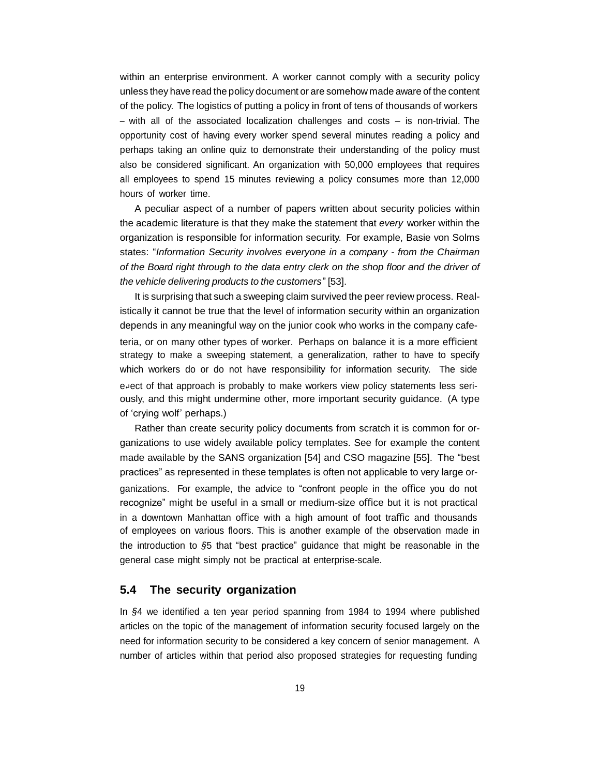within an enterprise environment. A worker cannot comply with a security policy unless they have read the policy document or are somehow made aware of the content of the policy. The logistics of putting a policy in front of tens of thousands of workers – with all of the associated localization challenges and costs – is non-trivial. The opportunity cost of having every worker spend several minutes reading a policy and perhaps taking an online quiz to demonstrate their understanding of the policy must also be considered significant. An organization with 50,000 employees that requires all employees to spend 15 minutes reviewing a policy consumes more than 12,000 hours of worker time.

A peculiar aspect of a number of papers written about security policies within the academic literature is that they make the statement that *every* worker within the organization is responsible for information security. For example, Basie von Solms states: "*Information Security involves everyone in a company - from the Chairman of the Board right through to the data entry clerk on the shop floor and the driver of the vehicle delivering products to the customers*" [53].

It is surprising that such a sweeping claim survived the peer review process. Realistically it cannot be true that the level of information security within an organization depends in any meaningful way on the junior cook who works in the company cafeteria, or on many other types of worker. Perhaps on balance it is a more efficient strategy to make a sweeping statement, a generalization, rather to have to specify which workers do or do not have responsibility for information security. The side e<sup>↓</sup>ect of that approach is probably to make workers view policy statements less seriously, and this might undermine other, more important security guidance. (A type of 'crying wolf' perhaps.)

Rather than create security policy documents from scratch it is common for organizations to use widely available policy templates. See for example the content made available by the SANS organization [54] and CSO magazine [55]. The "best practices" as represented in these templates is often not applicable to very large organizations. For example, the advice to "confront people in the office you do not recognize" might be useful in a small or medium-size office but it is not practical in a downtown Manhattan office with a high amount of foot traffic and thousands of employees on various floors. This is another example of the observation made in the introduction to *§*5 that "best practice" guidance that might be reasonable in the general case might simply not be practical at enterprise-scale.

#### **5.4 The security organization**

In *§*4 we identified a ten year period spanning from 1984 to 1994 where published articles on the topic of the management of information security focused largely on the need for information security to be considered a key concern of senior management. A number of articles within that period also proposed strategies for requesting funding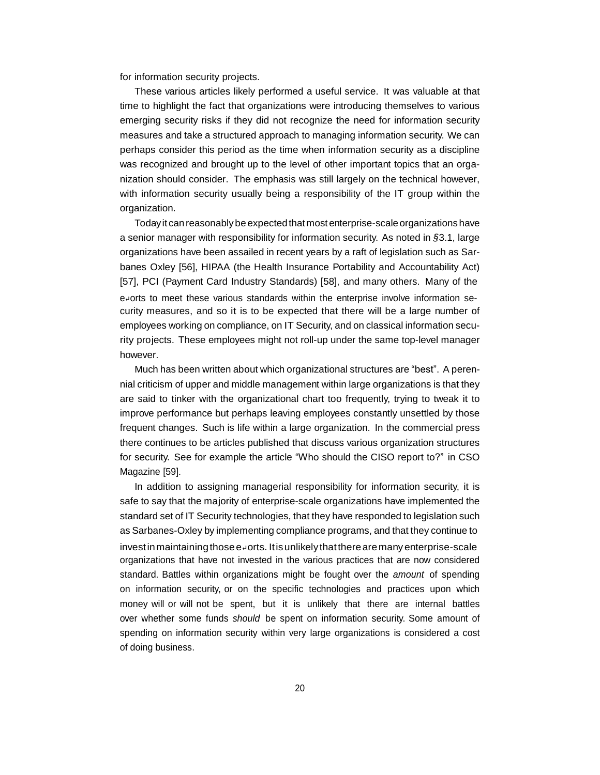for information security projects.

These various articles likely performed a useful service. It was valuable at that time to highlight the fact that organizations were introducing themselves to various emerging security risks if they did not recognize the need for information security measures and take a structured approach to managing information security. We can perhaps consider this period as the time when information security as a discipline was recognized and brought up to the level of other important topics that an organization should consider. The emphasis was still largely on the technical however, with information security usually being a responsibility of the IT group within the organization.

Today it can reasonably be expected that most enterprise-scale organizations have a senior manager with responsibility for information security. As noted in *§*3.1, large organizations have been assailed in recent years by a raft of legislation such as Sarbanes Oxley [56], HIPAA (the Health Insurance Portability and Accountability Act) [57], PCI (Payment Card Industry Standards) [58], and many others. Many of the e<sup>↓</sup>orts to meet these various standards within the enterprise involve information security measures, and so it is to be expected that there will be a large number of employees working on compliance, on IT Security, and on classical information security projects. These employees might not roll-up under the same top-level manager however.

Much has been written about which organizational structures are "best". A perennial criticism of upper and middle management within large organizations is that they are said to tinker with the organizational chart too frequently, trying to tweak it to improve performance but perhaps leaving employees constantly unsettled by those frequent changes. Such is life within a large organization. In the commercial press there continues to be articles published that discuss various organization structures for security. See for example the article "Who should the CISO report to?" in CSO Magazine [59].

In addition to assigning managerial responsibility for information security, it is safe to say that the majority of enterprise-scale organizations have implemented the standard set of IT Security technologies, that they have responded to legislation such as Sarbanes-Oxley by implementing compliance programs, and that they continue to investinmaintainingthosee↵orts. Itisunlikelythattherearemanyenterprise-scale organizations that have not invested in the various practices that are now considered standard. Battles within organizations might be fought over the *amount* of spending on information security, or on the specific technologies and practices upon which money will or will not be spent, but it is unlikely that there are internal battles over whether some funds *should* be spent on information security. Some amount of spending on information security within very large organizations is considered a cost of doing business.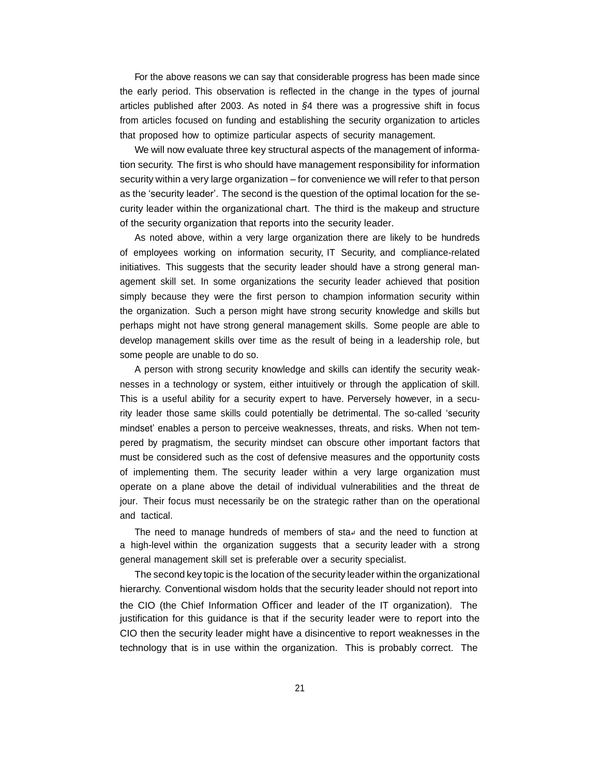For the above reasons we can say that considerable progress has been made since the early period. This observation is reflected in the change in the types of journal articles published after 2003. As noted in *§*4 there was a progressive shift in focus from articles focused on funding and establishing the security organization to articles that proposed how to optimize particular aspects of security management.

We will now evaluate three key structural aspects of the management of information security. The first is who should have management responsibility for information security within a very large organization – for convenience we will refer to that person as the 'security leader'. The second is the question of the optimal location for the security leader within the organizational chart. The third is the makeup and structure of the security organization that reports into the security leader.

As noted above, within a very large organization there are likely to be hundreds of employees working on information security, IT Security, and compliance-related initiatives. This suggests that the security leader should have a strong general management skill set. In some organizations the security leader achieved that position simply because they were the first person to champion information security within the organization. Such a person might have strong security knowledge and skills but perhaps might not have strong general management skills. Some people are able to develop management skills over time as the result of being in a leadership role, but some people are unable to do so.

A person with strong security knowledge and skills can identify the security weaknesses in a technology or system, either intuitively or through the application of skill. This is a useful ability for a security expert to have. Perversely however, in a security leader those same skills could potentially be detrimental. The so-called 'security mindset' enables a person to perceive weaknesses, threats, and risks. When not tempered by pragmatism, the security mindset can obscure other important factors that must be considered such as the cost of defensive measures and the opportunity costs of implementing them. The security leader within a very large organization must operate on a plane above the detail of individual vulnerabilities and the threat de jour. Their focus must necessarily be on the strategic rather than on the operational and tactical.

The need to manage hundreds of members of sta $\psi$  and the need to function at a high-level within the organization suggests that a security leader with a strong general management skill set is preferable over a security specialist.

The second key topic is the location of the security leader within the organizational hierarchy. Conventional wisdom holds that the security leader should not report into the CIO (the Chief Information Officer and leader of the IT organization). The justification for this guidance is that if the security leader were to report into the CIO then the security leader might have a disincentive to report weaknesses in the technology that is in use within the organization. This is probably correct. The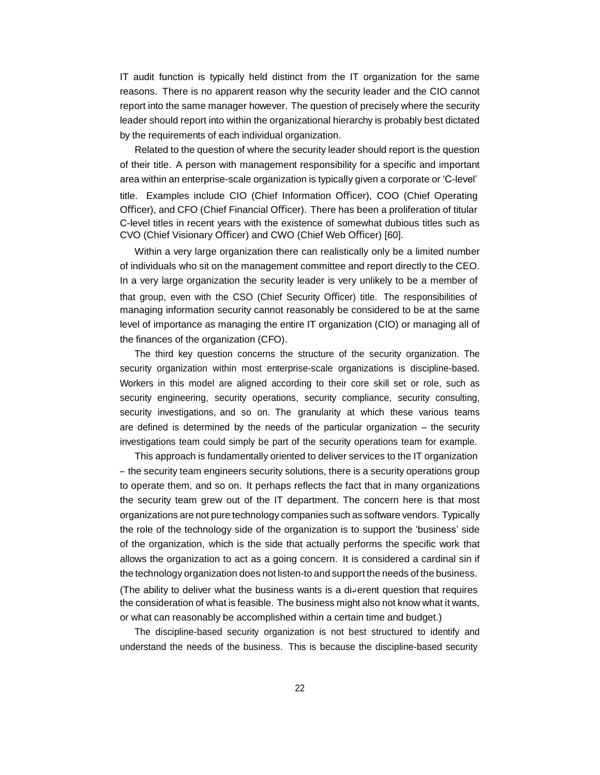IT audit function is typically held distinct from the IT organization for the same reasons. There is no apparent reason why the security leader and the CIO cannot report into the same manager however. The question of precisely where the security leader should report into within the organizational hierarchy is probably best dictated by the requirements of each individual organization.

Related to the question of where the security leader should report is the question of their title. A person with management responsibility for a specific and important area within an enterprise-scale organization is typically given a corporate or 'C-level' title. Examples include CIO (Chief Information Officer), COO (Chief Operating Officer), and CFO (Chief Financial Officer). There has been a proliferation of titular C-level titles in recent years with the existence of somewhat dubious titles such as CVO (Chief Visionary Officer) and CWO (Chief Web Officer) [60].

Within a very large organization there can realistically only be a limited number of individuals who sit on the management committee and report directly to the CEO. In a very large organization the security leader is very unlikely to be a member of that group, even with the CSO (Chief Security Officer) title. The responsibilities of managing information security cannot reasonably be considered to be at the same level of importance as managing the entire IT organization (CIO) or managing all of the finances of the organization (CFO).

The third key question concerns the structure of the security organization. The security organization within most enterprise-scale organizations is discipline-based. Workers in this model are aligned according to their core skill set or role, such as security engineering, security operations, security compliance, security consulting, security investigations, and so on. The granularity at which these various teams are defined is determined by the needs of the particular organization – the security investigations team could simply be part of the security operations team for example.

This approach is fundamentally oriented to deliver services to the IT organization – the security team engineers security solutions, there is a security operations group to operate them, and so on. It perhaps reflects the fact that in many organizations the security team grew out of the IT department. The concern here is that most organizations are not pure technology companies such as software vendors. Typically the role of the technology side of the organization is to support the 'business' side of the organization, which is the side that actually performs the specific work that allows the organization to act as a going concern. It is considered a cardinal sin if the technology organization does not listen-to and support the needs of the business.

(The ability to deliver what the business wants is a di↵erent question that requires the consideration of what is feasible. The business might also not know what it wants, or what can reasonably be accomplished within a certain time and budget.)

The discipline-based security organization is not best structured to identify and understand the needs of the business. This is because the discipline-based security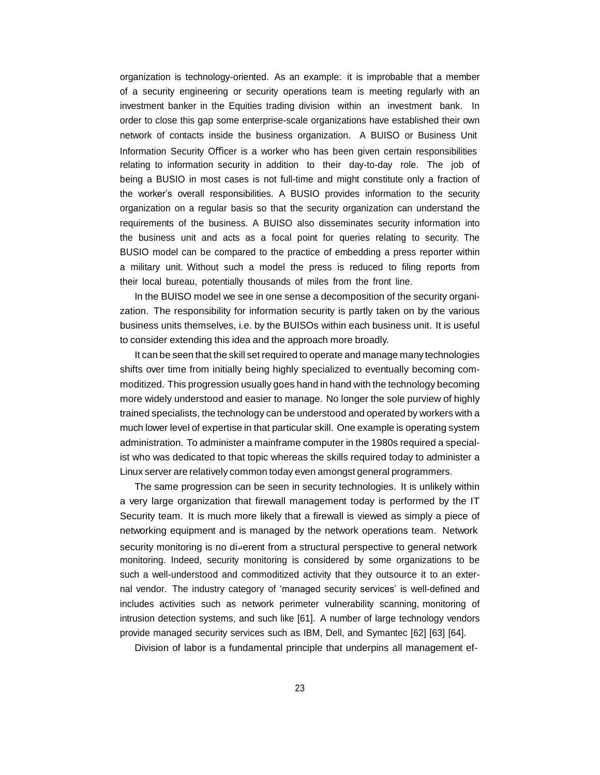organization is technology-oriented. As an example: it is improbable that a member of a security engineering or security operations team is meeting regularly with an investment banker in the Equities trading division within an investment bank. In order to close this gap some enterprise-scale organizations have established their own network of contacts inside the business organization. A BUISO or Business Unit Information Security Officer is a worker who has been given certain responsibilities relating to information security in addition to their day-to-day role. The job of being a BUSIO in most cases is not full-time and might constitute only a fraction of the worker's overall responsibilities. A BUSIO provides information to the security organization on a regular basis so that the security organization can understand the requirements of the business. A BUISO also disseminates security information into the business unit and acts as a focal point for queries relating to security. The BUSIO model can be compared to the practice of embedding a press reporter within a military unit. Without such a model the press is reduced to filing reports from their local bureau, potentially thousands of miles from the front line.

In the BUISO model we see in one sense a decomposition of the security organization. The responsibility for information security is partly taken on by the various business units themselves, i.e. by the BUISOs within each business unit. It is useful to consider extending this idea and the approach more broadly.

It can be seen that the skill set required to operate and manage many technologies shifts over time from initially being highly specialized to eventually becoming commoditized. This progression usually goes hand in hand with the technology becoming more widely understood and easier to manage. No longer the sole purview of highly trained specialists, the technology can be understood and operated by workers with a much lower level of expertise in that particular skill. One example is operating system administration. To administer a mainframe computer in the 1980s required a specialist who was dedicated to that topic whereas the skills required today to administer a Linux server are relatively common today even amongst general programmers.

The same progression can be seen in security technologies. It is unlikely within a very large organization that firewall management today is performed by the IT Security team. It is much more likely that a firewall is viewed as simply a piece of networking equipment and is managed by the network operations team. Network security monitoring is no di⊌erent from a structural perspective to general network monitoring. Indeed, security monitoring is considered by some organizations to be such a well-understood and commoditized activity that they outsource it to an external vendor. The industry category of 'managed security services' is well-defined and includes activities such as network perimeter vulnerability scanning, monitoring of intrusion detection systems, and such like [61]. A number of large technology vendors provide managed security services such as IBM, Dell, and Symantec [62] [63] [64].

Division of labor is a fundamental principle that underpins all management ef-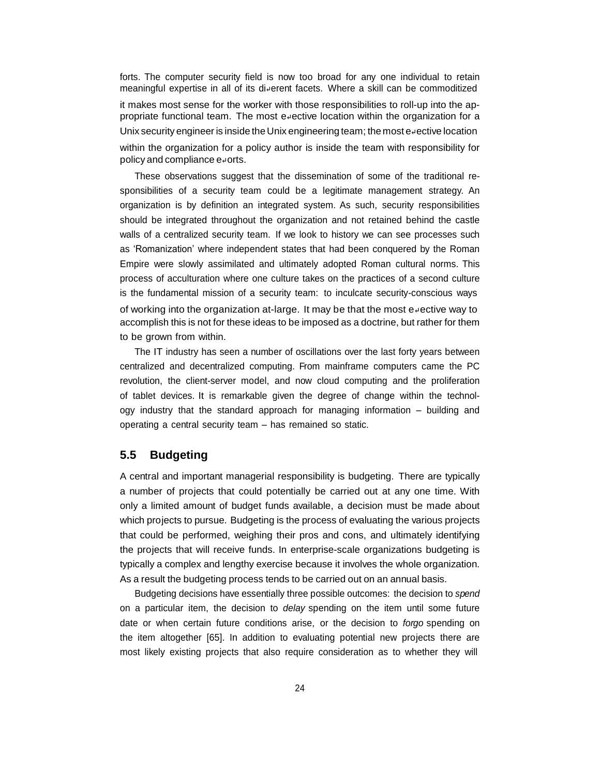forts. The computer security field is now too broad for any one individual to retain meaningful expertise in all of its dieerent facets. Where a skill can be commoditized it makes most sense for the worker with those responsibilities to roll-up into the appropriate functional team. The most e↵ective location within the organization for a Unix security engineer is inside the Unix engineering team; the most  $e \cdot$ ective location within the organization for a policy author is inside the team with responsibility for policy and compliance e↵orts.

These observations suggest that the dissemination of some of the traditional responsibilities of a security team could be a legitimate management strategy. An organization is by definition an integrated system. As such, security responsibilities should be integrated throughout the organization and not retained behind the castle walls of a centralized security team. If we look to history we can see processes such as 'Romanization' where independent states that had been conquered by the Roman Empire were slowly assimilated and ultimately adopted Roman cultural norms. This process of acculturation where one culture takes on the practices of a second culture is the fundamental mission of a security team: to inculcate security-conscious ways of working into the organization at-large. It may be that the most e↵ective way to accomplish this is not for these ideas to be imposed as a doctrine, but rather for them to be grown from within.

The IT industry has seen a number of oscillations over the last forty years between centralized and decentralized computing. From mainframe computers came the PC revolution, the client-server model, and now cloud computing and the proliferation of tablet devices. It is remarkable given the degree of change within the technology industry that the standard approach for managing information – building and operating a central security team – has remained so static.

#### **5.5 Budgeting**

A central and important managerial responsibility is budgeting. There are typically a number of projects that could potentially be carried out at any one time. With only a limited amount of budget funds available, a decision must be made about which projects to pursue. Budgeting is the process of evaluating the various projects that could be performed, weighing their pros and cons, and ultimately identifying the projects that will receive funds. In enterprise-scale organizations budgeting is typically a complex and lengthy exercise because it involves the whole organization. As a result the budgeting process tends to be carried out on an annual basis.

Budgeting decisions have essentially three possible outcomes: the decision to *spend* on a particular item, the decision to *delay* spending on the item until some future date or when certain future conditions arise, or the decision to *forgo* spending on the item altogether [65]. In addition to evaluating potential new projects there are most likely existing projects that also require consideration as to whether they will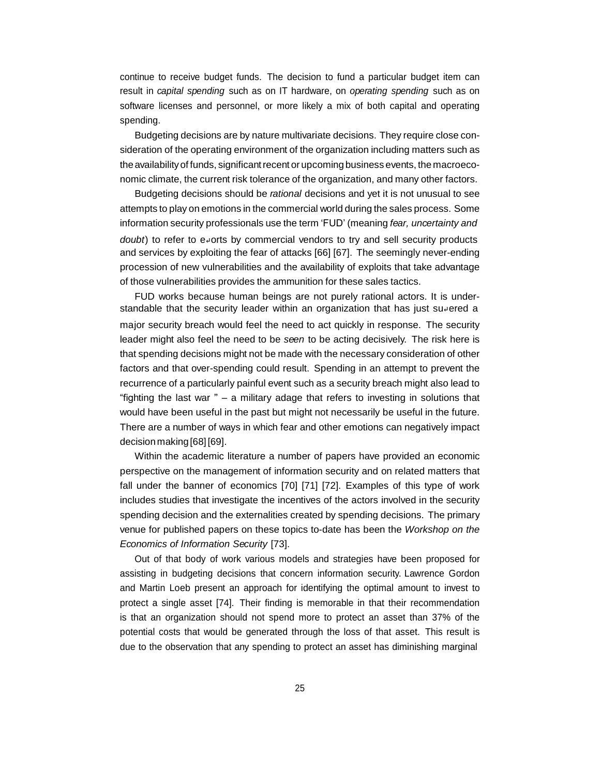continue to receive budget funds. The decision to fund a particular budget item can result in *capital spending* such as on IT hardware, on *operating spending* such as on software licenses and personnel, or more likely a mix of both capital and operating spending.

Budgeting decisions are by nature multivariate decisions. They require close consideration of the operating environment of the organization including matters such as the availability of funds, significant recent or upcoming business events, the macroeconomic climate, the current risk tolerance of the organization, and many other factors.

Budgeting decisions should be *rational* decisions and yet it is not unusual to see attempts to play on emotions in the commercial world during the sales process. Some information security professionals use the term 'FUD' (meaning *fear, uncertainty and doubt*) to refer to e⊌orts by commercial vendors to try and sell security products and services by exploiting the fear of attacks [66] [67]. The seemingly never-ending procession of new vulnerabilities and the availability of exploits that take advantage of those vulnerabilities provides the ammunition for these sales tactics.

FUD works because human beings are not purely rational actors. It is understandable that the security leader within an organization that has just su⊌ered a major security breach would feel the need to act quickly in response. The security leader might also feel the need to be *seen* to be acting decisively. The risk here is that spending decisions might not be made with the necessary consideration of other factors and that over-spending could result. Spending in an attempt to prevent the recurrence of a particularly painful event such as a security breach might also lead to "fighting the last war " – a military adage that refers to investing in solutions that would have been useful in the past but might not necessarily be useful in the future. There are a number of ways in which fear and other emotions can negatively impact decision making [68] [69].

Within the academic literature a number of papers have provided an economic perspective on the management of information security and on related matters that fall under the banner of economics [70] [71] [72]. Examples of this type of work includes studies that investigate the incentives of the actors involved in the security spending decision and the externalities created by spending decisions. The primary venue for published papers on these topics to-date has been the *Workshop on the Economics of Information Security* [73].

Out of that body of work various models and strategies have been proposed for assisting in budgeting decisions that concern information security. Lawrence Gordon and Martin Loeb present an approach for identifying the optimal amount to invest to protect a single asset [74]. Their finding is memorable in that their recommendation is that an organization should not spend more to protect an asset than 37% of the potential costs that would be generated through the loss of that asset. This result is due to the observation that any spending to protect an asset has diminishing marginal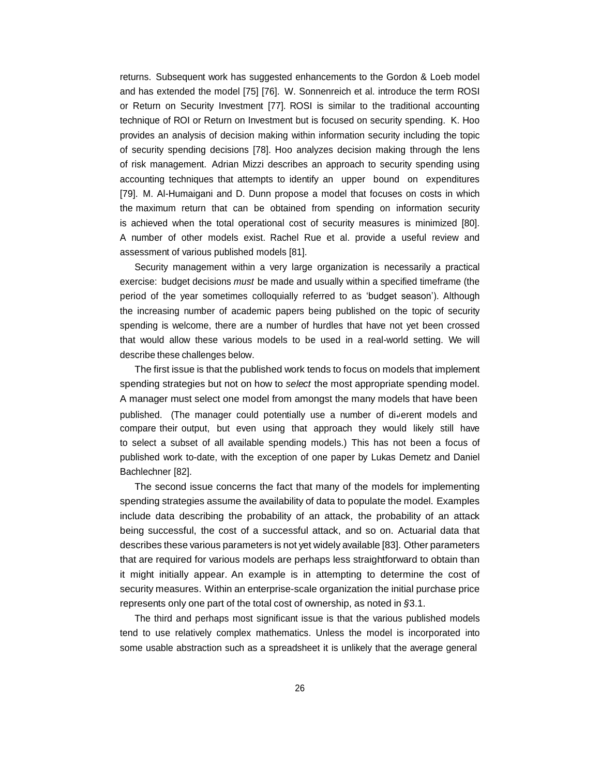returns. Subsequent work has suggested enhancements to the Gordon & Loeb model and has extended the model [75] [76]. W. Sonnenreich et al. introduce the term ROSI or Return on Security Investment [77]. ROSI is similar to the traditional accounting technique of ROI or Return on Investment but is focused on security spending. K. Hoo provides an analysis of decision making within information security including the topic of security spending decisions [78]. Hoo analyzes decision making through the lens of risk management. Adrian Mizzi describes an approach to security spending using accounting techniques that attempts to identify an upper bound on expenditures [79]. M. Al-Humaigani and D. Dunn propose a model that focuses on costs in which the maximum return that can be obtained from spending on information security is achieved when the total operational cost of security measures is minimized [80]. A number of other models exist. Rachel Rue et al. provide a useful review and assessment of various published models [81].

Security management within a very large organization is necessarily a practical exercise: budget decisions *must* be made and usually within a specified timeframe (the period of the year sometimes colloquially referred to as 'budget season'). Although the increasing number of academic papers being published on the topic of security spending is welcome, there are a number of hurdles that have not yet been crossed that would allow these various models to be used in a real-world setting. We will describe these challenges below.

The first issue is that the published work tends to focus on models that implement spending strategies but not on how to *select* the most appropriate spending model. A manager must select one model from amongst the many models that have been published. (The manager could potentially use a number of dieerent models and compare their output, but even using that approach they would likely still have to select a subset of all available spending models.) This has not been a focus of published work to-date, with the exception of one paper by Lukas Demetz and Daniel Bachlechner [82].

The second issue concerns the fact that many of the models for implementing spending strategies assume the availability of data to populate the model. Examples include data describing the probability of an attack, the probability of an attack being successful, the cost of a successful attack, and so on. Actuarial data that describes these various parameters is not yet widely available [83]. Other parameters that are required for various models are perhaps less straightforward to obtain than it might initially appear. An example is in attempting to determine the cost of security measures. Within an enterprise-scale organization the initial purchase price represents only one part of the total cost of ownership, as noted in *§*3.1.

The third and perhaps most significant issue is that the various published models tend to use relatively complex mathematics. Unless the model is incorporated into some usable abstraction such as a spreadsheet it is unlikely that the average general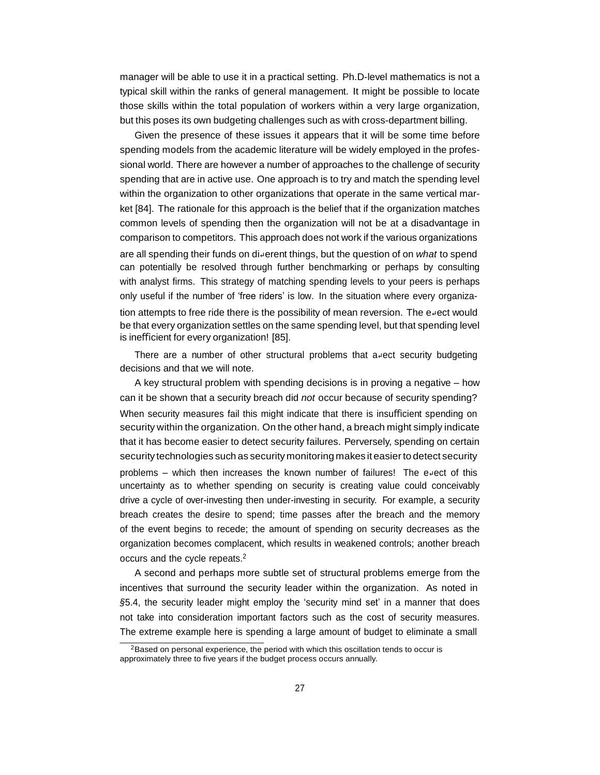manager will be able to use it in a practical setting. Ph.D-level mathematics is not a typical skill within the ranks of general management. It might be possible to locate those skills within the total population of workers within a very large organization, but this poses its own budgeting challenges such as with cross-department billing.

Given the presence of these issues it appears that it will be some time before spending models from the academic literature will be widely employed in the professional world. There are however a number of approaches to the challenge of security spending that are in active use. One approach is to try and match the spending level within the organization to other organizations that operate in the same vertical market [84]. The rationale for this approach is the belief that if the organization matches common levels of spending then the organization will not be at a disadvantage in comparison to competitors. This approach does not work if the various organizations are all spending their funds on di↵erent things, but the question of on *what* to spend can potentially be resolved through further benchmarking or perhaps by consulting with analyst firms. This strategy of matching spending levels to your peers is perhaps only useful if the number of 'free riders' is low. In the situation where every organization attempts to free ride there is the possibility of mean reversion. The e⊌ect would be that every organization settles on the same spending level, but that spending level is inefficient for every organization! [85].

There are a number of other structural problems that a↵ect security budgeting decisions and that we will note.

A key structural problem with spending decisions is in proving a negative – how can it be shown that a security breach did *not* occur because of security spending?

When security measures fail this might indicate that there is insufficient spending on security within the organization. On the other hand, a breach might simply indicate that it has become easier to detect security failures. Perversely, spending on certain security technologies such as security monitoring makes it easier to detect security

problems – which then increases the known number of failures! The e↵ect of this uncertainty as to whether spending on security is creating value could conceivably drive a cycle of over-investing then under-investing in security. For example, a security breach creates the desire to spend; time passes after the breach and the memory of the event begins to recede; the amount of spending on security decreases as the organization becomes complacent, which results in weakened controls; another breach occurs and the cycle repeats.<sup>2</sup>

A second and perhaps more subtle set of structural problems emerge from the incentives that surround the security leader within the organization. As noted in *§*5.4, the security leader might employ the 'security mind set' in a manner that does not take into consideration important factors such as the cost of security measures. The extreme example here is spending a large amount of budget to eliminate a small

<sup>&</sup>lt;sup>2</sup>Based on personal experience, the period with which this oscillation tends to occur is approximately three to five years if the budget process occurs annually.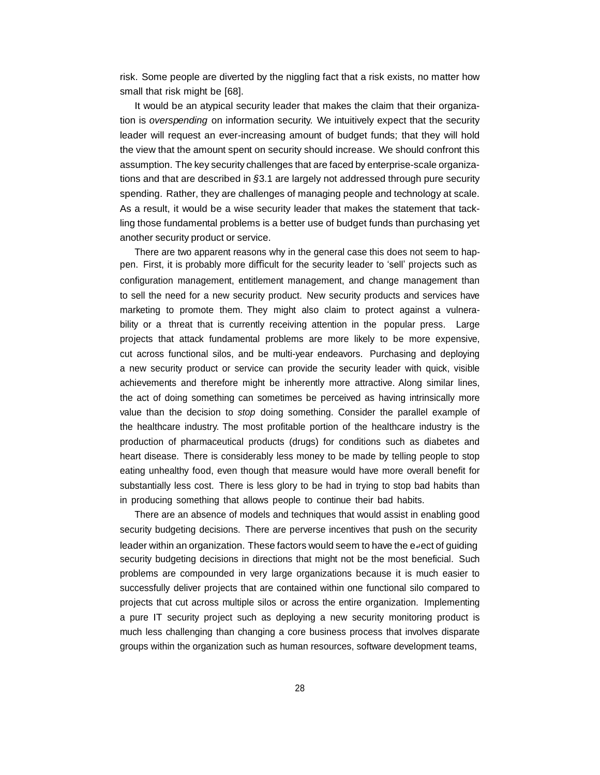risk. Some people are diverted by the niggling fact that a risk exists, no matter how small that risk might be [68].

It would be an atypical security leader that makes the claim that their organization is *overspending* on information security. We intuitively expect that the security leader will request an ever-increasing amount of budget funds; that they will hold the view that the amount spent on security should increase. We should confront this assumption. The key security challenges that are faced by enterprise-scale organizations and that are described in *§*3.1 are largely not addressed through pure security spending. Rather, they are challenges of managing people and technology at scale. As a result, it would be a wise security leader that makes the statement that tackling those fundamental problems is a better use of budget funds than purchasing yet another security product or service.

There are two apparent reasons why in the general case this does not seem to happen. First, it is probably more difficult for the security leader to 'sell' projects such as configuration management, entitlement management, and change management than to sell the need for a new security product. New security products and services have marketing to promote them. They might also claim to protect against a vulnerability or a threat that is currently receiving attention in the popular press. Large projects that attack fundamental problems are more likely to be more expensive, cut across functional silos, and be multi-year endeavors. Purchasing and deploying a new security product or service can provide the security leader with quick, visible achievements and therefore might be inherently more attractive. Along similar lines, the act of doing something can sometimes be perceived as having intrinsically more value than the decision to *stop* doing something. Consider the parallel example of the healthcare industry. The most profitable portion of the healthcare industry is the production of pharmaceutical products (drugs) for conditions such as diabetes and heart disease. There is considerably less money to be made by telling people to stop eating unhealthy food, even though that measure would have more overall benefit for substantially less cost. There is less glory to be had in trying to stop bad habits than in producing something that allows people to continue their bad habits.

There are an absence of models and techniques that would assist in enabling good security budgeting decisions. There are perverse incentives that push on the security leader within an organization. These factors would seem to have the e↵ect of guiding security budgeting decisions in directions that might not be the most beneficial. Such problems are compounded in very large organizations because it is much easier to successfully deliver projects that are contained within one functional silo compared to projects that cut across multiple silos or across the entire organization. Implementing a pure IT security project such as deploying a new security monitoring product is much less challenging than changing a core business process that involves disparate groups within the organization such as human resources, software development teams,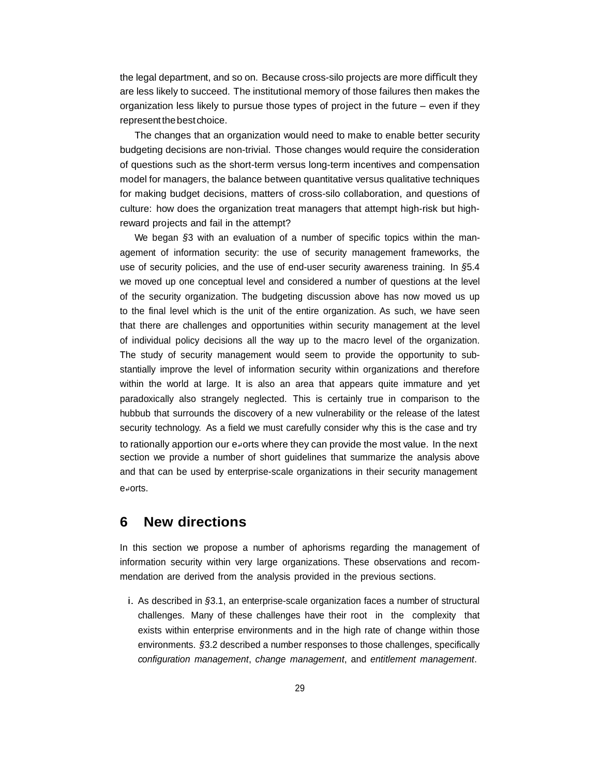the legal department, and so on. Because cross-silo projects are more difficult they are less likely to succeed. The institutional memory of those failures then makes the organization less likely to pursue those types of project in the future – even if they represent the best choice.

The changes that an organization would need to make to enable better security budgeting decisions are non-trivial. Those changes would require the consideration of questions such as the short-term versus long-term incentives and compensation model for managers, the balance between quantitative versus qualitative techniques for making budget decisions, matters of cross-silo collaboration, and questions of culture: how does the organization treat managers that attempt high-risk but highreward projects and fail in the attempt?

We began *§*3 with an evaluation of a number of specific topics within the management of information security: the use of security management frameworks, the use of security policies, and the use of end-user security awareness training. In *§*5.4 we moved up one conceptual level and considered a number of questions at the level of the security organization. The budgeting discussion above has now moved us up to the final level which is the unit of the entire organization. As such, we have seen that there are challenges and opportunities within security management at the level of individual policy decisions all the way up to the macro level of the organization. The study of security management would seem to provide the opportunity to substantially improve the level of information security within organizations and therefore within the world at large. It is also an area that appears quite immature and yet paradoxically also strangely neglected. This is certainly true in comparison to the hubbub that surrounds the discovery of a new vulnerability or the release of the latest security technology. As a field we must carefully consider why this is the case and try to rationally apportion our e⊌orts where they can provide the most value. In the next section we provide a number of short guidelines that summarize the analysis above and that can be used by enterprise-scale organizations in their security management e<sup>↓</sup>orts.

### **6 New directions**

In this section we propose a number of aphorisms regarding the management of information security within very large organizations. These observations and recommendation are derived from the analysis provided in the previous sections.

i. As described in *§*3.1, an enterprise-scale organization faces a number of structural challenges. Many of these challenges have their root in the complexity that exists within enterprise environments and in the high rate of change within those environments. *§*3.2 described a number responses to those challenges, specifically *configuration management*, *change management*, and *entitlement management*.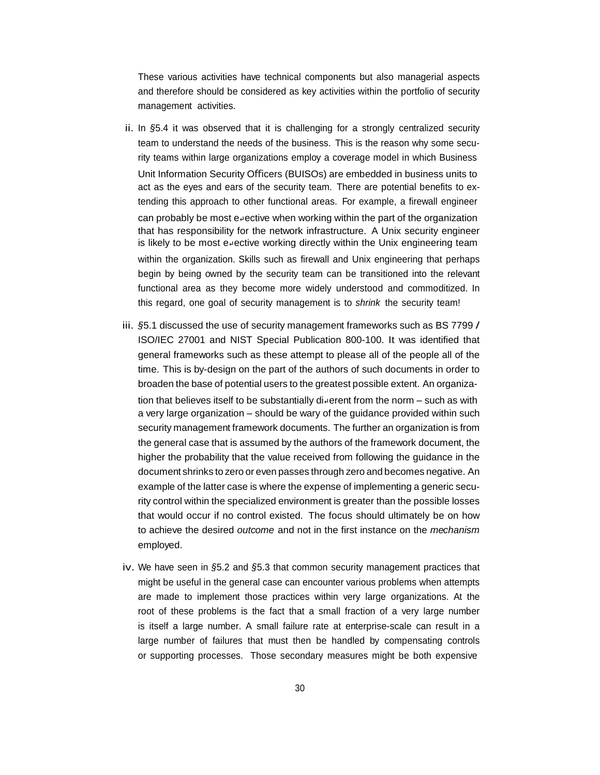These various activities have technical components but also managerial aspects and therefore should be considered as key activities within the portfolio of security management activities.

- ii. In *§*5.4 it was observed that it is challenging for a strongly centralized security team to understand the needs of the business. This is the reason why some security teams within large organizations employ a coverage model in which Business Unit Information Security Officers (BUISOs) are embedded in business units to act as the eyes and ears of the security team. There are potential benefits to extending this approach to other functional areas. For example, a firewall engineer can probably be most e↵ective when working within the part of the organization that has responsibility for the network infrastructure. A Unix security engineer is likely to be most e↵ective working directly within the Unix engineering team within the organization. Skills such as firewall and Unix engineering that perhaps begin by being owned by the security team can be transitioned into the relevant functional area as they become more widely understood and commoditized. In this regard, one goal of security management is to *shrink* the security team!
- iii. *§*5.1 discussed the use of security management frameworks such as BS <sup>7799</sup> / ISO/IEC 27001 and NIST Special Publication 800-100. It was identified that general frameworks such as these attempt to please all of the people all of the time. This is by-design on the part of the authors of such documents in order to broaden the base of potential users to the greatest possible extent. An organization that believes itself to be substantially di∉erent from the norm – such as with a very large organization – should be wary of the guidance provided within such security management framework documents. The further an organization is from the general case that is assumed by the authors of the framework document, the higher the probability that the value received from following the guidance in the document shrinks to zero or even passes through zero and becomes negative. An example of the latter case is where the expense of implementing a generic security control within the specialized environment is greater than the possible losses that would occur if no control existed. The focus should ultimately be on how to achieve the desired *outcome* and not in the first instance on the *mechanism* employed.
- iv. We have seen in *§*5.2 and *§*5.3 that common security management practices that might be useful in the general case can encounter various problems when attempts are made to implement those practices within very large organizations. At the root of these problems is the fact that a small fraction of a very large number is itself a large number. A small failure rate at enterprise-scale can result in a large number of failures that must then be handled by compensating controls or supporting processes. Those secondary measures might be both expensive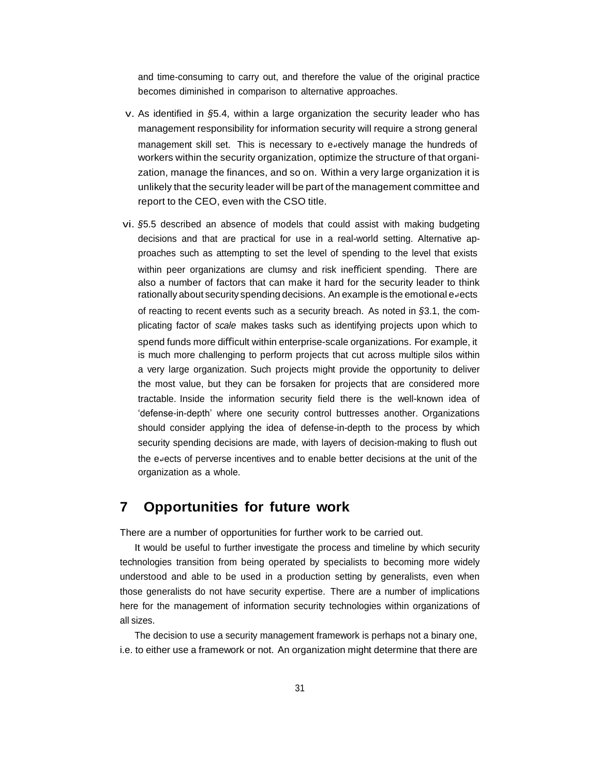and time-consuming to carry out, and therefore the value of the original practice becomes diminished in comparison to alternative approaches.

- v. As identified in *§*5.4, within a large organization the security leader who has management responsibility for information security will require a strong general management skill set. This is necessary to e↵ectively manage the hundreds of workers within the security organization, optimize the structure of that organization, manage the finances, and so on. Within a very large organization it is unlikely that the security leader will be part of the management committee and report to the CEO, even with the CSO title.
- vi. *§*5.5 described an absence of models that could assist with making budgeting decisions and that are practical for use in a real-world setting. Alternative approaches such as attempting to set the level of spending to the level that exists within peer organizations are clumsy and risk inefficient spending. There are also a number of factors that can make it hard for the security leader to think rationally about security spending decisions. An example is the emotional e↵ects of reacting to recent events such as a security breach. As noted in *§*3.1, the complicating factor of *scale* makes tasks such as identifying projects upon which to spend funds more difficult within enterprise-scale organizations. For example, it is much more challenging to perform projects that cut across multiple silos within a very large organization. Such projects might provide the opportunity to deliver the most value, but they can be forsaken for projects that are considered more tractable. Inside the information security field there is the well-known idea of 'defense-in-depth' where one security control buttresses another. Organizations should consider applying the idea of defense-in-depth to the process by which security spending decisions are made, with layers of decision-making to flush out the e↵ects of perverse incentives and to enable better decisions at the unit of the organization as a whole.

## **7 Opportunities for future work**

There are a number of opportunities for further work to be carried out.

It would be useful to further investigate the process and timeline by which security technologies transition from being operated by specialists to becoming more widely understood and able to be used in a production setting by generalists, even when those generalists do not have security expertise. There are a number of implications here for the management of information security technologies within organizations of all sizes.

The decision to use a security management framework is perhaps not a binary one, i.e. to either use a framework or not. An organization might determine that there are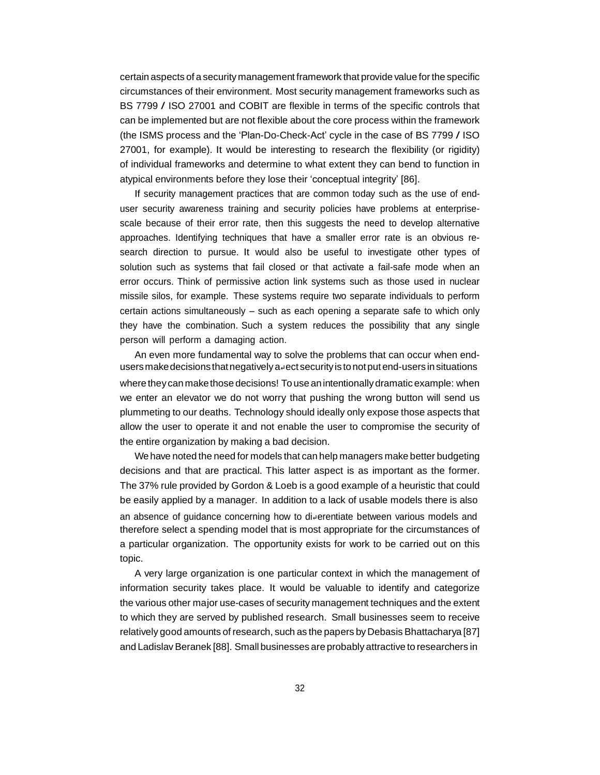certain aspects of a security management framework that provide value forthe specific circumstances of their environment. Most security management frameworks such as BS <sup>7799</sup> / ISO <sup>27001</sup> and COBIT are flexible in terms of the specific controls that can be implemented but are not flexible about the core process within the framework (the ISMS process and the 'Plan-Do-Check-Act' cycle in the case of BS <sup>7799</sup> / ISO 27001, for example). It would be interesting to research the flexibility (or rigidity) of individual frameworks and determine to what extent they can bend to function in atypical environments before they lose their 'conceptual integrity' [86].

If security management practices that are common today such as the use of enduser security awareness training and security policies have problems at enterprisescale because of their error rate, then this suggests the need to develop alternative approaches. Identifying techniques that have a smaller error rate is an obvious research direction to pursue. It would also be useful to investigate other types of solution such as systems that fail closed or that activate a fail-safe mode when an error occurs. Think of permissive action link systems such as those used in nuclear missile silos, for example. These systems require two separate individuals to perform certain actions simultaneously – such as each opening a separate safe to which only they have the combination. Such a system reduces the possibility that any single person will perform a damaging action.

An even more fundamental way to solve the problems that can occur when endusers make decisions that negatively a↵ect security is to not put end-users in situations where they can make those decisions! To use an intentionally dramatic example: when we enter an elevator we do not worry that pushing the wrong button will send us plummeting to our deaths. Technology should ideally only expose those aspects that allow the user to operate it and not enable the user to compromise the security of the entire organization by making a bad decision.

We have noted the need for models that can help managers make better budgeting decisions and that are practical. This latter aspect is as important as the former. The 37% rule provided by Gordon & Loeb is a good example of a heuristic that could be easily applied by a manager. In addition to a lack of usable models there is also an absence of quidance concerning how to di⊌erentiate between various models and therefore select a spending model that is most appropriate for the circumstances of a particular organization. The opportunity exists for work to be carried out on this topic.

A very large organization is one particular context in which the management of information security takes place. It would be valuable to identify and categorize the various other major use-cases of security management techniques and the extent to which they are served by published research. Small businesses seem to receive relatively good amounts of research, such as the papers by Debasis Bhattacharya [87] and Ladislav Beranek [88]. Small businesses are probably attractive to researchers in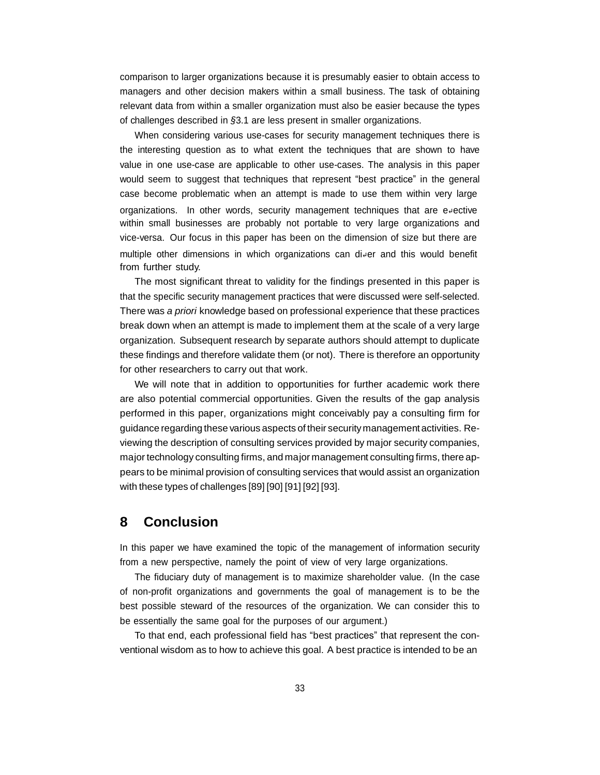comparison to larger organizations because it is presumably easier to obtain access to managers and other decision makers within a small business. The task of obtaining relevant data from within a smaller organization must also be easier because the types of challenges described in *§*3.1 are less present in smaller organizations.

When considering various use-cases for security management techniques there is the interesting question as to what extent the techniques that are shown to have value in one use-case are applicable to other use-cases. The analysis in this paper would seem to suggest that techniques that represent "best practice" in the general case become problematic when an attempt is made to use them within very large organizations. In other words, security management techniques that are e↵ective within small businesses are probably not portable to very large organizations and vice-versa. Our focus in this paper has been on the dimension of size but there are multiple other dimensions in which organizations can dieer and this would benefit from further study.

The most significant threat to validity for the findings presented in this paper is that the specific security management practices that were discussed were self-selected. There was *a priori* knowledge based on professional experience that these practices break down when an attempt is made to implement them at the scale of a very large organization. Subsequent research by separate authors should attempt to duplicate these findings and therefore validate them (or not). There is therefore an opportunity for other researchers to carry out that work.

We will note that in addition to opportunities for further academic work there are also potential commercial opportunities. Given the results of the gap analysis performed in this paper, organizations might conceivably pay a consulting firm for guidance regarding these various aspects of their securitymanagement activities. Reviewing the description of consulting services provided by major security companies, major technology consulting firms, and major management consulting firms, there appears to be minimal provision of consulting services that would assist an organization with these types of challenges [89] [90] [91] [92] [93].

## **8 Conclusion**

In this paper we have examined the topic of the management of information security from a new perspective, namely the point of view of very large organizations.

The fiduciary duty of management is to maximize shareholder value. (In the case of non-profit organizations and governments the goal of management is to be the best possible steward of the resources of the organization. We can consider this to be essentially the same goal for the purposes of our argument.)

To that end, each professional field has "best practices" that represent the conventional wisdom as to how to achieve this goal. A best practice is intended to be an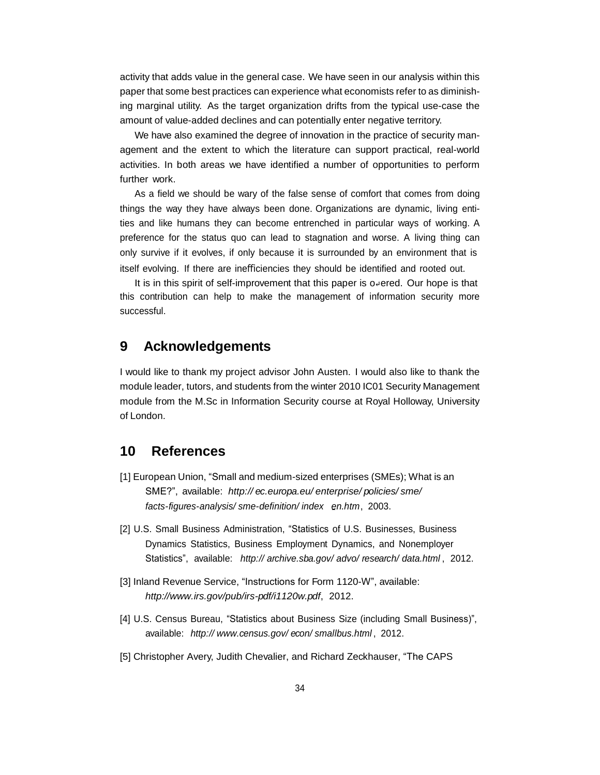activity that adds value in the general case. We have seen in our analysis within this paper that some best practices can experience what economists refer to as diminishing marginal utility. As the target organization drifts from the typical use-case the amount of value-added declines and can potentially enter negative territory.

We have also examined the degree of innovation in the practice of security management and the extent to which the literature can support practical, real-world activities. In both areas we have identified a number of opportunities to perform further work.

As a field we should be wary of the false sense of comfort that comes from doing things the way they have always been done. Organizations are dynamic, living entities and like humans they can become entrenched in particular ways of working. A preference for the status quo can lead to stagnation and worse. A living thing can only survive if it evolves, if only because it is surrounded by an environment that is itself evolving. If there are inefficiencies they should be identified and rooted out.

It is in this spirit of self-improvement that this paper is o↵ered. Our hope is that this contribution can help to make the management of information security more successful.

## **9 Acknowledgements**

I would like to thank my project advisor John Austen. I would also like to thank the module leader, tutors, and students from the winter 2010 IC01 Security Management module from the M.Sc in Information Security course at Royal Holloway, University of London.

### **10 References**

- [1] European Union, "Small and medium-sized enterprises (SMEs); What is an SME?", available: *http:// ec.europa.eu/ enterprise/ policies/ sme/ facts-figures-analysis/ sme-definition/ index en.htm*, 2003.
- [2] U.S. Small Business Administration, "Statistics of U.S. Businesses, Business Dynamics Statistics, Business Employment Dynamics, and Nonemployer Statistics", available: *http:// archive.sba.gov/ advo/ research/ data.html* , 2012.
- [3] Inland Revenue Service, "Instructions for Form 1120-W", available: *<http://www.irs.gov/pub/irs-pdf/i1120w.pdf>*, 2012.
- [4] U.S. Census Bureau, "Statistics about Business Size (including Small Business)", available: *http:// [www.census.gov/](http://www.census.gov/) econ/ smallbus.html* , 2012.
- [5] Christopher Avery, Judith Chevalier, and Richard Zeckhauser, "The CAPS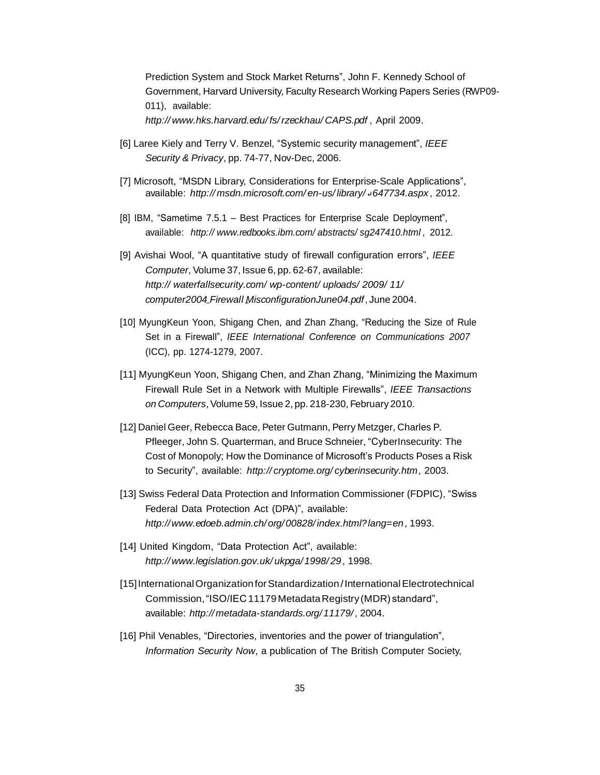Prediction System and Stock Market Returns", John F. Kennedy School of Government, Harvard University, Faculty Research Working Papers Series (RWP09- 011), available:

*http:// [www.hks.harvard.edu/](http://www.hks.harvard.edu/) fs/ rzeckhau/ CAPS.pdf* , April 2009.

- [6] Laree Kiely and Terry V. Benzel, "Systemic security management", *IEEE Security & Privacy*, pp. 74-77, Nov-Dec, 2006.
- [7] Microsoft, "MSDN Library, Considerations for Enterprise-Scale Applications", available: *http:// msdn.microsoft.com/ en-us/ library/ ↵647734.aspx* , 2012.
- [8] IBM, "Sametime 7.5.1 Best Practices for Enterprise Scale Deployment", available: *http:// [www.redbooks.ibm.com/](http://www.redbooks.ibm.com/) abstracts/ sg247410.html* , 2012.
- [9] Avishai Wool, "A quantitative study of firewall configuration errors", *IEEE Computer*, Volume 37, Issue 6, pp. 62-67, available: *http:// waterfallsecurity.com/ wp-content/ uploads/ 2009/ 11/ computer2004 Firewall MisconfigurationJune04.pdf*, June 2004.
- [10] MyungKeun Yoon, Shigang Chen, and Zhan Zhang, "Reducing the Size of Rule Set in a Firewall", *IEEE International Conference on Communications 2007* (ICC), pp. 1274-1279, 2007.
- [11] MyungKeun Yoon, Shigang Chen, and Zhan Zhang, "Minimizing the Maximum Firewall Rule Set in a Network with Multiple Firewalls", *IEEE Transactions on Computers*, Volume 59, Issue 2, pp. 218-230, February 2010.
- [12] Daniel Geer, Rebecca Bace, Peter Gutmann, Perry Metzger, Charles P. Pfleeger, John S. Quarterman, and Bruce Schneier, "CyberInsecurity: The Cost of Monopoly; How the Dominance of Microsoft's Products Poses a Risk to Security", available: *http:// cryptome.org/ cyberinsecurity.htm*, 2003.
- [13] Swiss Federal Data Protection and Information Commissioner (FDPIC), "Swiss Federal Data Protection Act (DPA)", available: *http:/[/www.edoeb.admin.ch/o](http://www.edoeb.admin.ch/)rg/00828/index.html?lang=en*, 1993.
- [14] United Kingdom, "Data Protection Act", available: *http:/[/www.legislation.gov.uk/](http://www.legislation.gov.uk/) ukpga/1998/ 29*, 1998.
- [15]InternationalOrganizationforStandardization/InternationalElectrotechnical Commission, "ISO/IEC11179 Metadata Registry (MDR) standard", available: *http://metadata-standards.org/11179/*, 2004.
- [16] Phil Venables, "Directories, inventories and the power of triangulation", *Information Security Now*, a publication of The British Computer Society,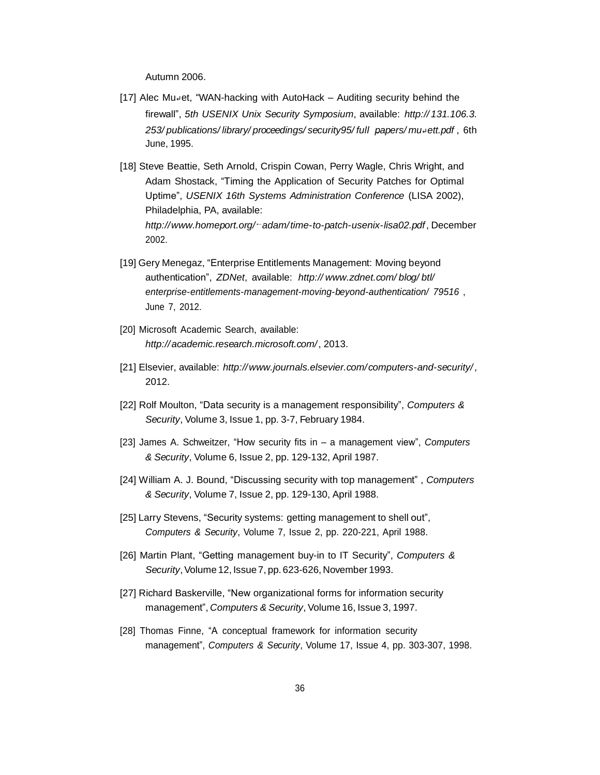Autumn 2006.

- [17] Alec Mu↵et, "WAN-hacking with AutoHack Auditing security behind the firewall", *5th USENIX Unix Security Symposium*, available: *http:// 131.106.3. 253/ publications/ library/ proceedings/ security95/ full papers/ mu↵ett.pdf* , 6th June, 1995.
- [18] Steve Beattie, Seth Arnold, Crispin Cowan, Perry Wagle, Chris Wright, and Adam Shostack, "Timing the Application of Security Patches for Optimal Uptime", *USENIX 16th Systems Administration Conference* (LISA 2002), Philadelphia, PA, available: *http:/[/www.homeport.org/](http://www.homeport.org/)⇠adam/time-to-patch-usenix-lisa02.pdf*, December 2002.
- [19] Gery Menegaz, "Enterprise Entitlements Management: Moving beyond authentication", *ZDNet*, available: *http:// [www.zdnet.com/](http://www.zdnet.com/) blog/ btl/ enterprise-entitlements-management-moving-beyond-authentication/ 79516* , June 7, 2012.
- [20] Microsoft Academic Search, available: *http://academic.research.microsoft.com/*, 2013.
- [21] Elsevier, available: *http:/[/www.journals.elsevier.com/c](http://www.journals.elsevier.com/)omputers-and-security/*, 2012.
- [22] Rolf Moulton, "Data security is a management responsibility", *Computers & Security*, Volume 3, Issue 1, pp. 3-7, February 1984.
- [23] James A. Schweitzer, "How security fits in a management view", *Computers & Security*, Volume 6, Issue 2, pp. 129-132, April 1987.
- [24] William A. J. Bound, "Discussing security with top management" , *Computers & Security*, Volume 7, Issue 2, pp. 129-130, April 1988.
- [25] Larry Stevens, "Security systems: getting management to shell out", *Computers & Security*, Volume 7, Issue 2, pp. 220-221, April 1988.
- [26] Martin Plant, "Getting management buy-in to IT Security", *Computers & Security*,Volume 12, Issue 7, pp. 623-626, November 1993.
- [27] Richard Baskerville, "New organizational forms for information security management", *Computers & Security*, Volume 16, Issue 3, 1997.
- [28] Thomas Finne, "A conceptual framework for information security management", *Computers & Security*, Volume 17, Issue 4, pp. 303-307, 1998.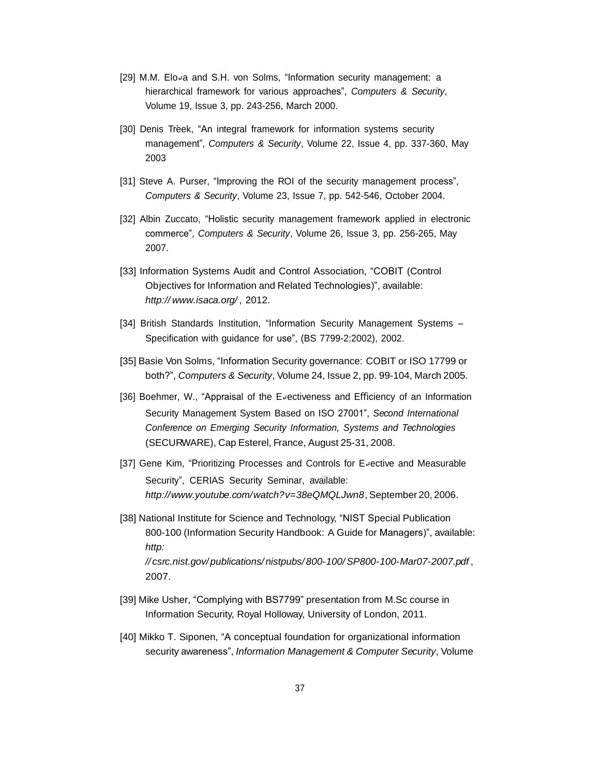- [29] M.M. Elo↵a and S.H. von Solms, "Information security management: a hierarchical framework for various approaches", *Computers & Security*, Volume 19, Issue 3, pp. 243-256, March 2000.
- [30] Denis Treek, "An integral framework for information systems security management", *Computers & Security*, Volume 22, Issue 4, pp. 337-360, May 2003
- [31] Steve A. Purser, "Improving the ROI of the security management process", *Computers & Security*, Volume 23, Issue 7, pp. 542-546, October 2004.
- [32] Albin Zuccato, "Holistic security management framework applied in electronic commerce", *Computers & Security*, Volume 26, Issue 3, pp. 256-265, May 2007.
- [33] Information Systems Audit and Control Association, "COBIT (Control Objectives for Information and Related Technologies)", available: *http:// [www.isaca.org/](http://www.isaca.org/)* , 2012.
- [34] British Standards Institution, "Information Security Management Systems -Specification with guidance for use", (BS 7799-2:2002), 2002.
- [35] Basie Von Solms, "Information Security governance: COBIT or ISO 17799 or both?", *Computers & Security*, Volume 24, Issue 2, pp. 99-104, March 2005.
- [36] Boehmer, W., "Appraisal of the E↵ectiveness and Efficiency of an Information Security Management System Based on ISO 27001", *Second International Conference on Emerging Security Information, Systems and Technologies* (SECURWARE), Cap Esterel, France, August 25-31, 2008.
- [37] Gene Kim, "Prioritizing Processes and Controls for E↵ective and Measurable Security", CERIAS Security Seminar, available: *http:/[/www.youtube.com/w](http://www.youtube.com/)atch?v=38eQMQLJwn8*, September 20, 2006.
- [38] National Institute for Science and Technology, "NIST Special Publication 800-100 (Information Security Handbook: A Guide for Managers)", available: *http: // csrc.nist.gov/ publications/ nistpubs/ 800-100/SP800-100-Mar07-2007.pdf* , 2007.
- [39] Mike Usher, "Complying with BS7799" presentation from M.Sc course in Information Security, Royal Holloway, University of London, 2011.
- [40] Mikko T. Siponen, "A conceptual foundation for organizational information security awareness", *Information Management & Computer Security*, Volume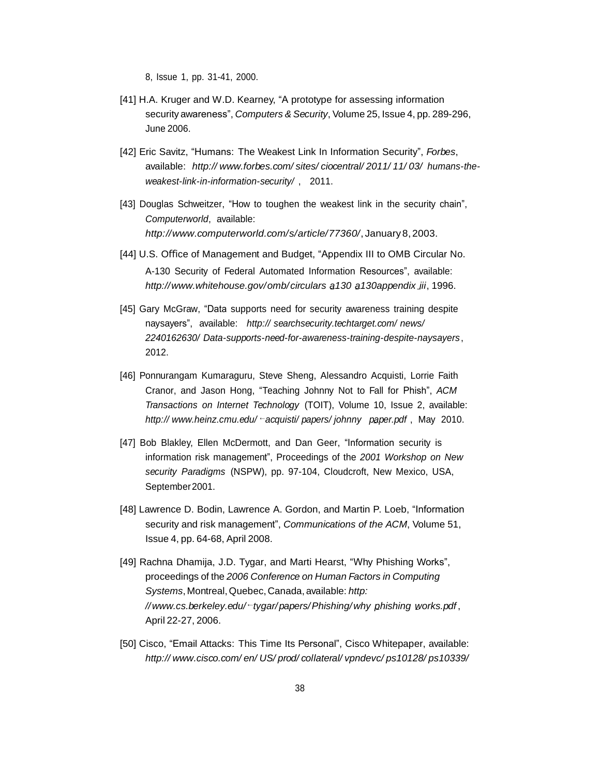8, Issue 1, pp. 31-41, 2000.

- [41] H.A. Kruger and W.D. Kearney, "A prototype for assessing information security awareness", *Computers & Security*, Volume 25, Issue 4, pp. 289-296, June 2006.
- [42] Eric Savitz, "Humans: The Weakest Link In Information Security", *Forbes*, available: *http:// [www.forbes.com/](http://www.forbes.com/) sites/ ciocentral/ 2011/ 11/ 03/ humans-theweakest-link-in-information-security/* , 2011.
- [43] Douglas Schweitzer, "How to toughen the weakest link in the security chain", *Computerworld*, available: *http:/[/www.computerworld.com/s](http://www.computerworld.com/)/article/77360/*, January8,2003.
- [44] U.S. Office of Management and Budget, "Appendix III to OMB Circular No. A-130 Security of Federal Automated Information Resources", available: *http:/[/www.whitehouse.gov/o](http://www.whitehouse.gov/)mb/circulars a130 a130appendix iii*, 1996.
- [45] Gary McGraw, "Data supports need for security awareness training despite naysayers", available: *http:// searchsecurity.techtarget.com/ news/ 2240162630/ Data-supports-need-for-awareness-training-despite-naysayers*, 2012.
- [46] Ponnurangam Kumaraguru, Steve Sheng, Alessandro Acquisti, Lorrie Faith Cranor, and Jason Hong, "Teaching Johnny Not to Fall for Phish", *ACM Transactions on Internet Technology* (TOIT), Volume 10, Issue 2, available: *http:// [www.heinz.cmu.edu/](http://www.heinz.cmu.edu/) ⇠acquisti/ papers/ johnny paper.pdf* , May 2010.
- [47] Bob Blakley, Ellen McDermott, and Dan Geer, "Information security is information risk management", Proceedings of the *2001 Workshop on New security Paradigms* (NSPW), pp. 97-104, Cloudcroft, New Mexico, USA, September2001.
- [48] Lawrence D. Bodin, Lawrence A. Gordon, and Martin P. Loeb, "Information security and risk management", *Communications of the ACM*, Volume 51, Issue 4, pp. 64-68, April 2008.
- [49] Rachna Dhamija, J.D. Tygar, and Marti Hearst, "Why Phishing Works", proceedings of the *2006 Conference on Human Factors in Computing Systems*, Montreal,Quebec, Canada, available: *http: /[/www.cs.berkeley.edu/](http://www.cs.berkeley.edu/) ⇠tygar/papers/Phishing/why phishing works.pdf* , April 22-27, 2006.
- [50] Cisco, "Email Attacks: This Time Its Personal", Cisco Whitepaper, available: *http:// [www.cisco.com/](http://www.cisco.com/) en/ US/ prod/ collateral/ vpndevc/ ps10128/ ps10339/*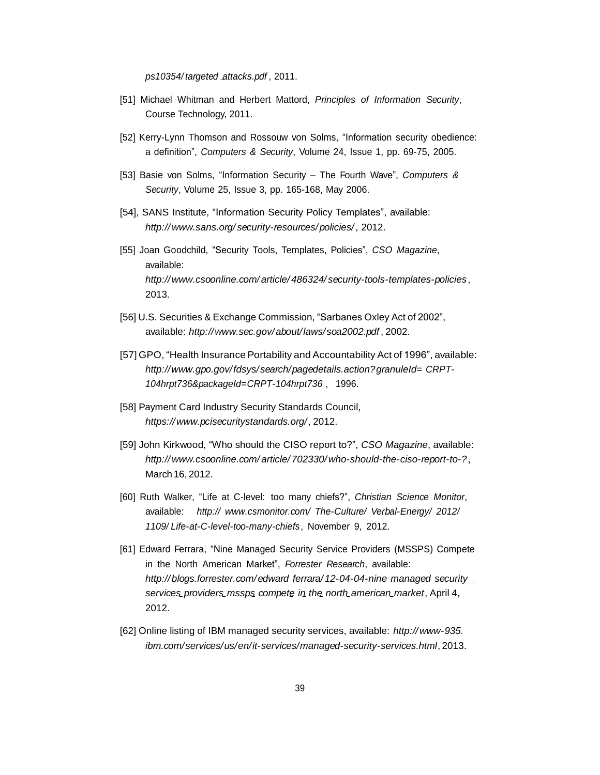*ps10354/ targeted attacks.pdf* , 2011.

- [51] Michael Whitman and Herbert Mattord, *Principles of Information Security*, Course Technology, 2011.
- [52] Kerry-Lynn Thomson and Rossouw von Solms, "Information security obedience: a definition", *Computers & Security*, Volume 24, Issue 1, pp. 69-75, 2005.
- [53] Basie von Solms, "Information Security The Fourth Wave", *Computers & Security*, Volume 25, Issue 3, pp. 165-168, May 2006.
- [54], SANS Institute, "Information Security Policy Templates", available: *http:/[/www.sans.org/](http://www.sans.org/) security-resources/ policies/* , 2012.
- [55] Joan Goodchild, "Security Tools, Templates, Policies", *CSO Magazine*, available: *http:/[/www.csoonline.com/](http://www.csoonline.com/) article/ 486324/ security-tools-templates-policies*, 2013.
- [56] U.S. Securities & Exchange Commission, "Sarbanes Oxley Act of 2002", available: *http:/[/www.sec.gov/a](http://www.sec.gov/)bout/laws/soa2002.pdf* , 2002.
- [57] GPO, "Health Insurance Portability and Accountability Act of 1996", available: *http:/[/www.gpo.gov/f](http://www.gpo.gov/)dsys/search/pagedetails.action?granuleId= CRPT-104hrpt736&packageId=CRPT-104hrpt736* , 1996.
- [58] Payment Card Industry Security Standards Council, *https:/[/www.pcisecuritystandards.org/](http://www.pcisecuritystandards.org/)*, 2012.
- [59] John Kirkwood, "Who should the CISO report to?", *CSO Magazine*, available: *http:/[/www.csoonline.com/](http://www.csoonline.com/) article/ 702330/ who-should-the-ciso-report-to-?*, March 16, 2012.
- [60] Ruth Walker, "Life at C-level: too many chiefs?", *Christian Science Monitor*, available: *http:// [www.csmonitor.com/](http://www.csmonitor.com/) The-Culture/ Verbal-Energy/ 2012/ 1109/ Life-at-C-level-too-many-chiefs*, November 9, 2012.
- [61] Edward Ferrara, "Nine Managed Security Service Providers (MSSPS) Compete in the North American Market", *Forrester Research*, available: *http://blogs.forrester.com/edward ferrara/ 12-04-04-nine managed security services providers mssps compete in the north american market*, April 4, 2012.
- [62] Online listing of IBM managed security services, available: *http://www-935. ibm.com/services/us/en/it-services/managed-security-services.html*, 2013.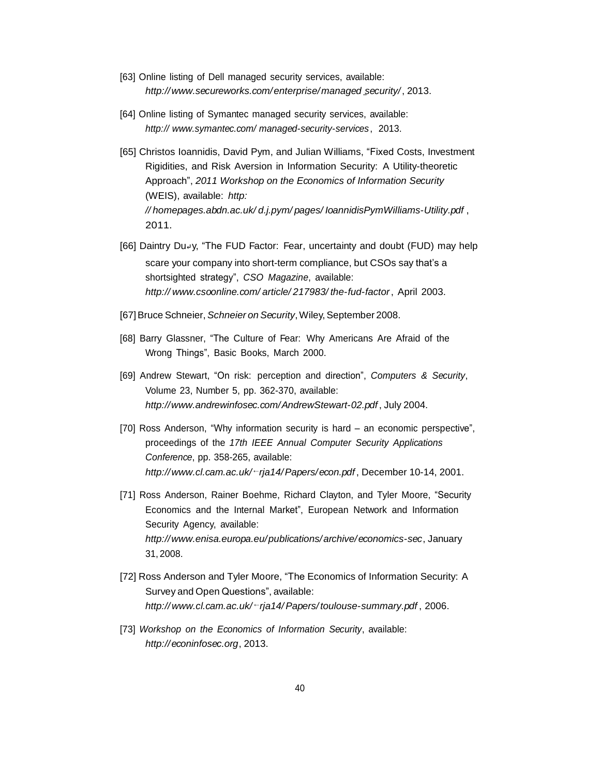- [63] Online listing of Dell managed security services, available: *http:/[/www.secureworks.com/e](http://www.secureworks.com/)nterprise/managed security/*, 2013.
- [64] Online listing of Symantec managed security services, available: *http:// [www.symantec.com/](http://www.symantec.com/) managed-security-services*, 2013.
- [65] Christos Ioannidis, David Pym, and Julian Williams, "Fixed Costs, Investment Rigidities, and Risk Aversion in Information Security: A Utility-theoretic Approach", *2011 Workshop on the Economics of Information Security* (WEIS), available: *http: // homepages.abdn.ac.uk/ d.j.pym/ pages/ IoannidisPymWilliams-Utility.pdf* , 2011.
- [66] Daintry Du↵y, "The FUD Factor: Fear, uncertainty and doubt (FUD) may help scare your company into short-term compliance, but CSOs say that's a shortsighted strategy", *CSO Magazine*, available: *http:// [www.csoonline.com/](http://www.csoonline.com/) article/ 217983/ the-fud-factor*, April 2003.
- [67]Bruce Schneier, *Schneier on Security*,Wiley, September 2008.
- [68] Barry Glassner, "The Culture of Fear: Why Americans Are Afraid of the Wrong Things", Basic Books, March 2000.
- [69] Andrew Stewart, "On risk: perception and direction", *Computers & Security*, Volume 23, Number 5, pp. 362-370, available: *http:/[/www.andrewinfosec.com/A](http://www.andrewinfosec.com/)ndrewStewart-02.pdf* , July 2004.
- [70] Ross Anderson, "Why information security is hard an economic perspective", proceedings of the *17th IEEE Annual Computer Security Applications Conference*, pp. 358-265, available: *http:/[/www.cl.cam.ac.uk/](http://www.cl.cam.ac.uk/) ⇠rja14/Papers/econ.pdf* , December 10-14, 2001.
- [71] Ross Anderson, Rainer Boehme, Richard Clayton, and Tyler Moore, "Security Economics and the Internal Market", European Network and Information Security Agency, available: *http:/[/www.enisa.europa.eu/p](http://www.enisa.europa.eu/)ublications/archive/economics-sec*, January 31, 2008.
- [72] Ross Anderson and Tyler Moore, "The Economics of Information Security: A Survey and Open Questions", available: *http:/[/www.cl.cam.ac.uk/](http://www.cl.cam.ac.uk/) ⇠rja14/Papers/ toulouse-summary.pdf* , 2006.
- [73] *Workshop on the Economics of Information Security*, available: *http://econinfosec.org*, 2013.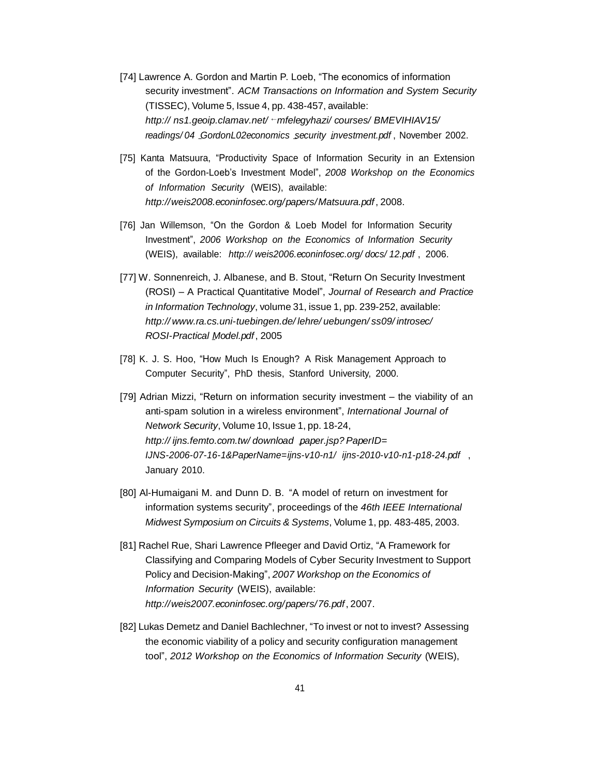- [74] Lawrence A. Gordon and Martin P. Loeb, "The economics of information security investment". *ACM Transactions on Information and System Security* (TISSEC), Volume 5, Issue 4, pp. 438-457, available: *http:// ns1.geoip.clamav.net/ ⇠mfelegyhazi/ courses/ BMEVIHIAV15/ readings/ 04 GordonL02economics security investment.pdf* , November 2002.
- [75] Kanta Matsuura, "Productivity Space of Information Security in an Extension of the Gordon-Loeb's Investment Model", *2008 Workshop on the Economics of Information Security* (WEIS), available: *http://weis2008.econinfosec.org/papers/Matsuura.pdf*, 2008.
- [76] Jan Willemson, "On the Gordon & Loeb Model for Information Security Investment", *2006 Workshop on the Economics of Information Security* (WEIS), available: *http:// weis2006.econinfosec.org/ docs/ 12.pdf* , 2006.
- [77] W. Sonnenreich, J. Albanese, and B. Stout, "Return On Security Investment (ROSI) – A Practical Quantitative Model", *Journal of Research and Practice in Information Technology*, volume 31, issue 1, pp. 239-252, available: *http:// [www.ra.cs.uni-tuebingen.de/](http://www.ra.cs.uni-tuebingen.de/) lehre/ uebungen/ ss09/ introsec/ ROSI-Practical Model.pdf* , 2005
- [78] K. J. S. Hoo, "How Much Is Enough? A Risk Management Approach to Computer Security", PhD thesis, Stanford University, 2000.
- [79] Adrian Mizzi, "Return on information security investment the viability of an anti-spam solution in a wireless environment", *International Journal of Network Security*, Volume 10, Issue 1, pp. 18-24, *http:// ijns.femto.com.tw/ download paper.jsp? PaperID= IJNS-2006-07-16-1&PaperName=ijns-v10-n1/ ijns-2010-v10-n1-p18-24.pdf* , January 2010.
- [80] Al-Humaigani M. and Dunn D. B. "A model of return on investment for information systems security", proceedings of the *46th IEEE International Midwest Symposium on Circuits & Systems*, Volume 1, pp. 483-485, 2003.
- [81] Rachel Rue, Shari Lawrence Pfleeger and David Ortiz, "A Framework for Classifying and Comparing Models of Cyber Security Investment to Support Policy and Decision-Making", *2007 Workshop on the Economics of Information Security* (WEIS), available: *http://weis2007.econinfosec.org/papers/76.pdf*, 2007.
- [82] Lukas Demetz and Daniel Bachlechner, "To invest or not to invest? Assessing the economic viability of a policy and security configuration management tool", *2012 Workshop on the Economics of Information Security* (WEIS),